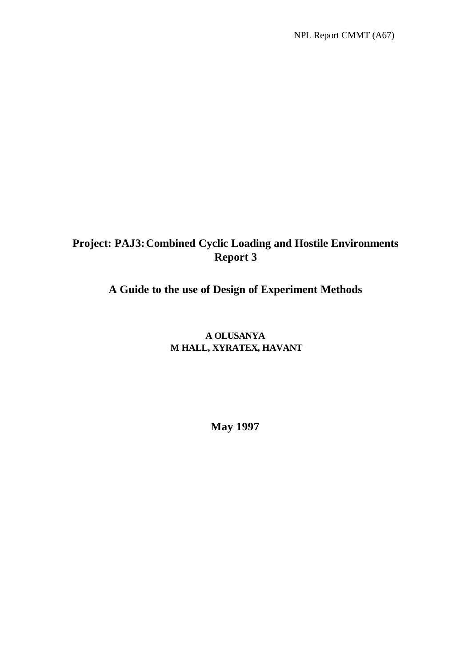# **Project: PAJ3:Combined Cyclic Loading and Hostile Environments Report 3**

# **A Guide to the use of Design of Experiment Methods**

# **A OLUSANYA M HALL, XYRATEX, HAVANT**

**May 1997**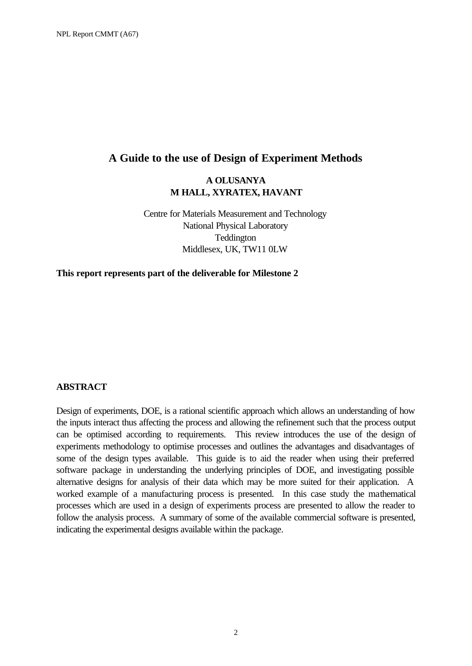### **A Guide to the use of Design of Experiment Methods**

### **A OLUSANYA M HALL, XYRATEX, HAVANT**

Centre for Materials Measurement and Technology National Physical Laboratory Teddington Middlesex, UK, TW11 0LW

**This report represents part of the deliverable for Milestone 2**

### **ABSTRACT**

Design of experiments, DOE, is a rational scientific approach which allows an understanding of how the inputs interact thus affecting the process and allowing the refinement such that the process output can be optimised according to requirements. This review introduces the use of the design of experiments methodology to optimise processes and outlines the advantages and disadvantages of some of the design types available. This guide is to aid the reader when using their preferred software package in understanding the underlying principles of DOE, and investigating possible alternative designs for analysis of their data which may be more suited for their application. A worked example of a manufacturing process is presented. In this case study the mathematical processes which are used in a design of experiments process are presented to allow the reader to follow the analysis process. A summary of some of the available commercial software is presented, indicating the experimental designs available within the package.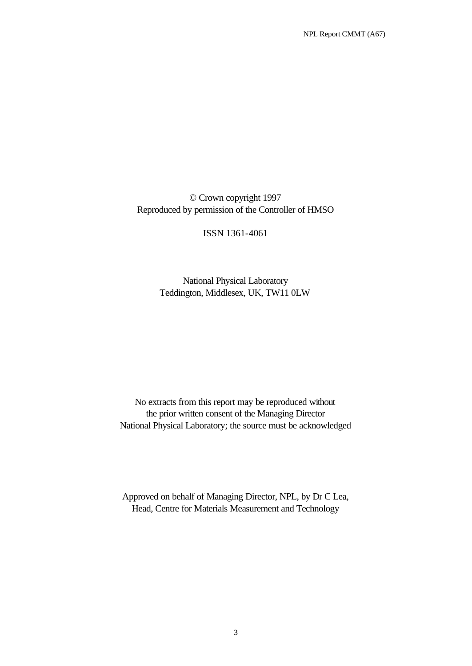NPL Report CMMT (A67)

© Crown copyright 1997 Reproduced by permission of the Controller of HMSO

ISSN 1361-4061

National Physical Laboratory Teddington, Middlesex, UK, TW11 0LW

No extracts from this report may be reproduced without the prior written consent of the Managing Director National Physical Laboratory; the source must be acknowledged

Approved on behalf of Managing Director, NPL, by Dr C Lea, Head, Centre for Materials Measurement and Technology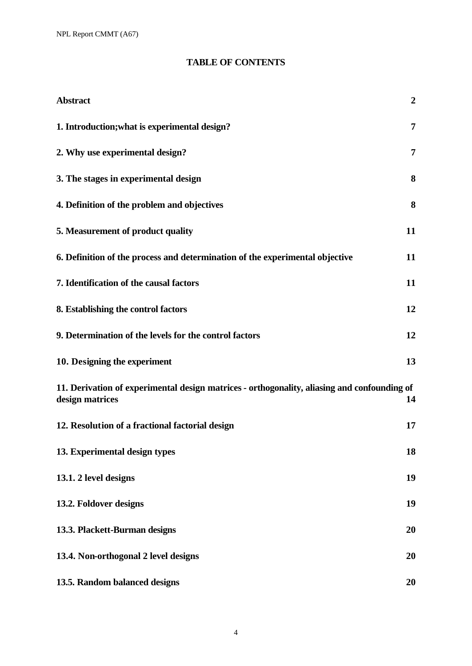NPL Report CMMT (A67)

# **TABLE OF CONTENTS**

| <b>Abstract</b>                                                                                                | $\overline{2}$ |
|----------------------------------------------------------------------------------------------------------------|----------------|
| 1. Introduction; what is experimental design?                                                                  | $\overline{7}$ |
| 2. Why use experimental design?                                                                                | 7              |
| 3. The stages in experimental design                                                                           | 8              |
| 4. Definition of the problem and objectives                                                                    | 8              |
| 5. Measurement of product quality                                                                              | 11             |
| 6. Definition of the process and determination of the experimental objective                                   | 11             |
| 7. Identification of the causal factors                                                                        | 11             |
| 8. Establishing the control factors                                                                            | 12             |
| 9. Determination of the levels for the control factors                                                         | 12             |
| 10. Designing the experiment                                                                                   | 13             |
| 11. Derivation of experimental design matrices - orthogonality, aliasing and confounding of<br>design matrices | 14             |
| 12. Resolution of a fractional factorial design                                                                | 17             |
| 13. Experimental design types                                                                                  | 18             |
| 13.1. 2 level designs                                                                                          | 19             |
| 13.2. Foldover designs                                                                                         | 19             |
| 13.3. Plackett-Burman designs                                                                                  | 20             |
| 13.4. Non-orthogonal 2 level designs                                                                           | 20             |
| 13.5. Random balanced designs                                                                                  | 20             |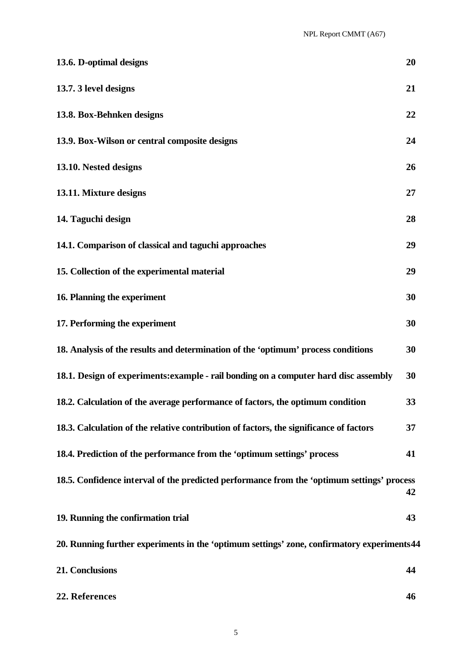| 13.6. D-optimal designs                                                                     | 20 |
|---------------------------------------------------------------------------------------------|----|
| 13.7.3 level designs                                                                        | 21 |
| 13.8. Box-Behnken designs                                                                   | 22 |
| 13.9. Box-Wilson or central composite designs                                               | 24 |
| 13.10. Nested designs                                                                       | 26 |
| 13.11. Mixture designs                                                                      | 27 |
| 14. Taguchi design                                                                          | 28 |
| 14.1. Comparison of classical and taguchi approaches                                        | 29 |
| 15. Collection of the experimental material                                                 | 29 |
| 16. Planning the experiment                                                                 | 30 |
| 17. Performing the experiment                                                               | 30 |
| 18. Analysis of the results and determination of the 'optimum' process conditions           | 30 |
| 18.1. Design of experiments: example - rail bonding on a computer hard disc assembly        | 30 |
| 18.2. Calculation of the average performance of factors, the optimum condition              | 33 |
| 18.3. Calculation of the relative contribution of factors, the significance of factors      | 37 |
| 18.4. Prediction of the performance from the 'optimum settings' process                     | 41 |
| 18.5. Confidence interval of the predicted performance from the 'optimum settings' process  | 42 |
| 19. Running the confirmation trial                                                          | 43 |
| 20. Running further experiments in the 'optimum settings' zone, confirmatory experiments 44 |    |
| 21. Conclusions                                                                             | 44 |
| 22. References                                                                              | 46 |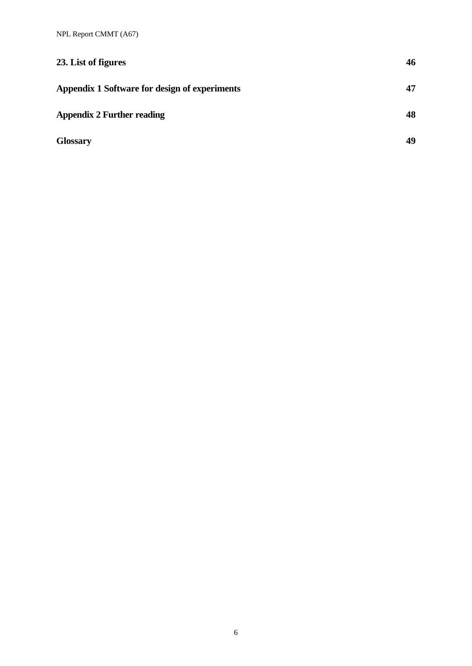| 23. List of figures                           | 46 |
|-----------------------------------------------|----|
| Appendix 1 Software for design of experiments | 47 |
| <b>Appendix 2 Further reading</b>             | 48 |
| <b>Glossary</b>                               | 49 |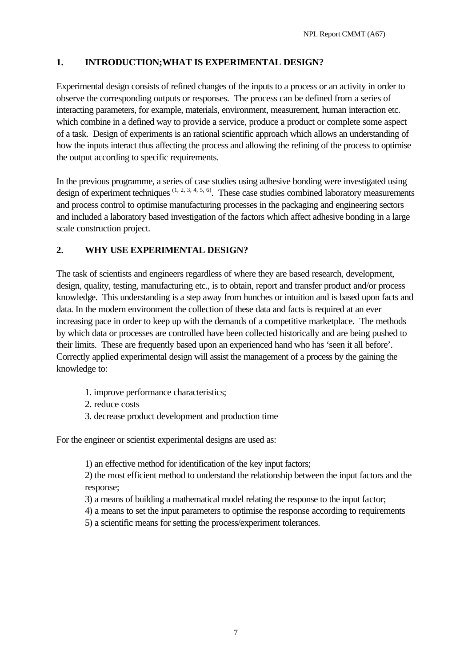### **1. INTRODUCTION;WHAT IS EXPERIMENTAL DESIGN?**

Experimental design consists of refined changes of the inputs to a process or an activity in order to observe the corresponding outputs or responses. The process can be defined from a series of interacting parameters, for example, materials, environment, measurement, human interaction etc. which combine in a defined way to provide a service, produce a product or complete some aspect of a task. Design of experiments is an rational scientific approach which allows an understanding of how the inputs interact thus affecting the process and allowing the refining of the process to optimise the output according to specific requirements.

In the previous programme, a series of case studies using adhesive bonding were investigated using design of experiment techniques  $(1, 2, 3, 4, 5, 6)$ . These case studies combined laboratory measurements and process control to optimise manufacturing processes in the packaging and engineering sectors and included a laboratory based investigation of the factors which affect adhesive bonding in a large scale construction project.

### **2. WHY USE EXPERIMENTAL DESIGN?**

The task of scientists and engineers regardless of where they are based research, development, design, quality, testing, manufacturing etc., is to obtain, report and transfer product and/or process knowledge. This understanding is a step away from hunches or intuition and is based upon facts and data. In the modern environment the collection of these data and facts is required at an ever increasing pace in order to keep up with the demands of a competitive marketplace. The methods by which data or processes are controlled have been collected historically and are being pushed to their limits. These are frequently based upon an experienced hand who has 'seen it all before'. Correctly applied experimental design will assist the management of a process by the gaining the knowledge to:

- 1. improve performance characteristics;
- 2. reduce costs
- 3. decrease product development and production time

For the engineer or scientist experimental designs are used as:

1) an effective method for identification of the key input factors;

2) the most efficient method to understand the relationship between the input factors and the response;

- 3) a means of building a mathematical model relating the response to the input factor;
- 4) a means to set the input parameters to optimise the response according to requirements
- 5) a scientific means for setting the process/experiment tolerances.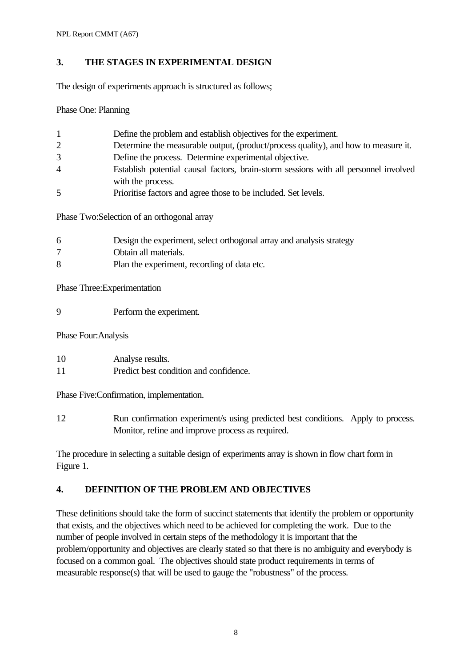# **3. THE STAGES IN EXPERIMENTAL DESIGN**

The design of experiments approach is structured as follows;

Phase One: Planning

| 1 | Define the problem and establish objectives for the experiment.                      |
|---|--------------------------------------------------------------------------------------|
| 2 | Determine the measurable output, (product/process quality), and how to measure it.   |
| 3 | Define the process. Determine experimental objective.                                |
| 4 | Establish potential causal factors, brain-storm sessions with all personnel involved |
|   | with the process.                                                                    |
| 5 | Prioritise factors and agree those to be included. Set levels.                       |

Phase Two:Selection of an orthogonal array

| 6 | Design the experiment, select orthogonal array and analysis strategy |
|---|----------------------------------------------------------------------|
|   | Obtain all materials.                                                |
| 8 | Plan the experiment, recording of data etc.                          |

Phase Three:Experimentation

9 Perform the experiment.

Phase Four:Analysis

| 10<br>Analyse results. |  |
|------------------------|--|
|------------------------|--|

11 Predict best condition and confidence.

Phase Five:Confirmation, implementation.

12 Run confirmation experiment/s using predicted best conditions. Apply to process. Monitor, refine and improve process as required.

The procedure in selecting a suitable design of experiments array is shown in flow chart form in Figure 1.

# **4. DEFINITION OF THE PROBLEM AND OBJECTIVES**

These definitions should take the form of succinct statements that identify the problem or opportunity that exists, and the objectives which need to be achieved for completing the work. Due to the number of people involved in certain steps of the methodology it is important that the problem/opportunity and objectives are clearly stated so that there is no ambiguity and everybody is focused on a common goal. The objectives should state product requirements in terms of measurable response(s) that will be used to gauge the "robustness" of the process.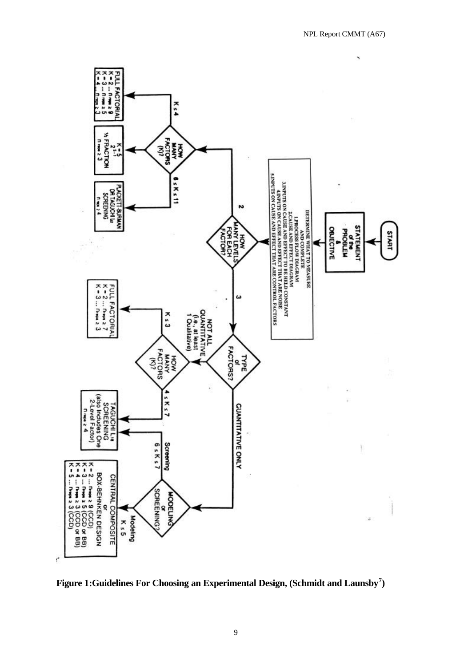

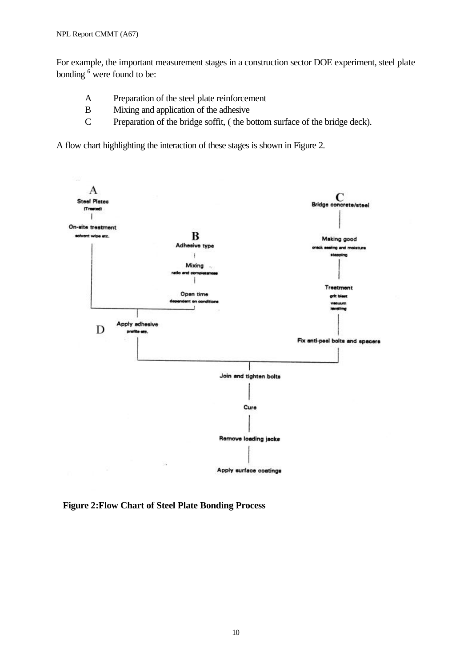For example, the important measurement stages in a construction sector DOE experiment, steel plate bonding <sup>6</sup> were found to be:

- A Preparation of the steel plate reinforcement
- B Mixing and application of the adhesive
- C Preparation of the bridge soffit, ( the bottom surface of the bridge deck).

A flow chart highlighting the interaction of these stages is shown in Figure 2.



**Figure 2:Flow Chart of Steel Plate Bonding Process**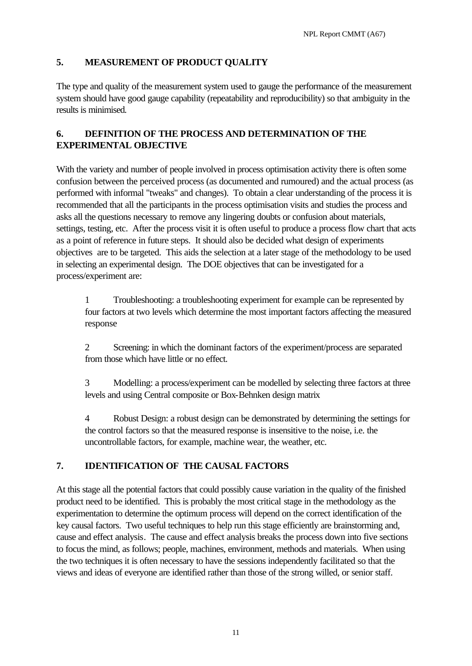# **5. MEASUREMENT OF PRODUCT QUALITY**

The type and quality of the measurement system used to gauge the performance of the measurement system should have good gauge capability (repeatability and reproducibility) so that ambiguity in the results is minimised.

# **6. DEFINITION OF THE PROCESS AND DETERMINATION OF THE EXPERIMENTAL OBJECTIVE**

With the variety and number of people involved in process optimisation activity there is often some confusion between the perceived process (as documented and rumoured) and the actual process (as performed with informal "tweaks" and changes). To obtain a clear understanding of the process it is recommended that all the participants in the process optimisation visits and studies the process and asks all the questions necessary to remove any lingering doubts or confusion about materials, settings, testing, etc. After the process visit it is often useful to produce a process flow chart that acts as a point of reference in future steps. It should also be decided what design of experiments objectives are to be targeted. This aids the selection at a later stage of the methodology to be used in selecting an experimental design. The DOE objectives that can be investigated for a process/experiment are:

1 Troubleshooting: a troubleshooting experiment for example can be represented by four factors at two levels which determine the most important factors affecting the measured response

2 Screening: in which the dominant factors of the experiment/process are separated from those which have little or no effect.

3 Modelling: a process/experiment can be modelled by selecting three factors at three levels and using Central composite or Box-Behnken design matrix

4 Robust Design: a robust design can be demonstrated by determining the settings for the control factors so that the measured response is insensitive to the noise, i.e. the uncontrollable factors, for example, machine wear, the weather, etc.

# **7. IDENTIFICATION OF THE CAUSAL FACTORS**

At this stage all the potential factors that could possibly cause variation in the quality of the finished product need to be identified. This is probably the most critical stage in the methodology as the experimentation to determine the optimum process will depend on the correct identification of the key causal factors. Two useful techniques to help run this stage efficiently are brainstorming and, cause and effect analysis. The cause and effect analysis breaks the process down into five sections to focus the mind, as follows; people, machines, environment, methods and materials. When using the two techniques it is often necessary to have the sessions independently facilitated so that the views and ideas of everyone are identified rather than those of the strong willed, or senior staff.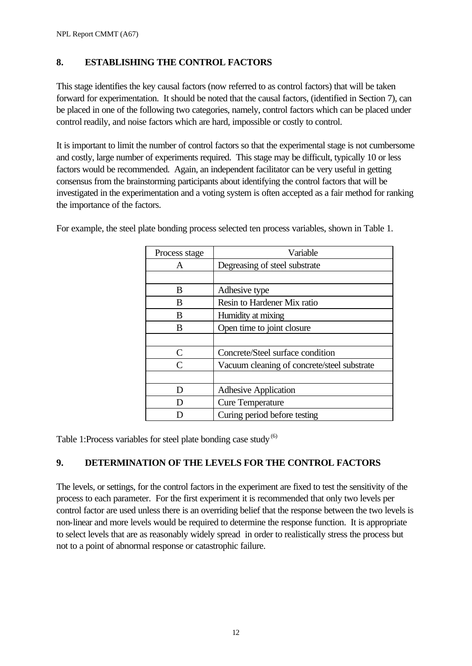### **8. ESTABLISHING THE CONTROL FACTORS**

This stage identifies the key causal factors (now referred to as control factors) that will be taken forward for experimentation. It should be noted that the causal factors, (identified in Section 7), can be placed in one of the following two categories, namely, control factors which can be placed under control readily, and noise factors which are hard, impossible or costly to control.

It is important to limit the number of control factors so that the experimental stage is not cumbersome and costly, large number of experiments required. This stage may be difficult, typically 10 or less factors would be recommended. Again, an independent facilitator can be very useful in getting consensus from the brainstorming participants about identifying the control factors that will be investigated in the experimentation and a voting system is often accepted as a fair method for ranking the importance of the factors.

| Process stage | Variable                                    |
|---------------|---------------------------------------------|
| A             | Degreasing of steel substrate               |
|               |                                             |
| B             | Adhesive type                               |
| B             | Resin to Hardener Mix ratio                 |
| B             | Humidity at mixing                          |
| B             | Open time to joint closure                  |
|               |                                             |
| C             | Concrete/Steel surface condition            |
| $\mathsf{C}$  | Vacuum cleaning of concrete/steel substrate |
|               |                                             |
| D             | <b>Adhesive Application</b>                 |
| D             | <b>Cure Temperature</b>                     |
|               | Curing period before testing                |

For example, the steel plate bonding process selected ten process variables, shown in Table 1.

Table 1:Process variables for steel plate bonding case study<sup>(6)</sup>

### **9. DETERMINATION OF THE LEVELS FOR THE CONTROL FACTORS**

The levels, or settings, for the control factors in the experiment are fixed to test the sensitivity of the process to each parameter. For the first experiment it is recommended that only two levels per control factor are used unless there is an overriding belief that the response between the two levels is non-linear and more levels would be required to determine the response function. It is appropriate to select levels that are as reasonably widely spread in order to realistically stress the process but not to a point of abnormal response or catastrophic failure.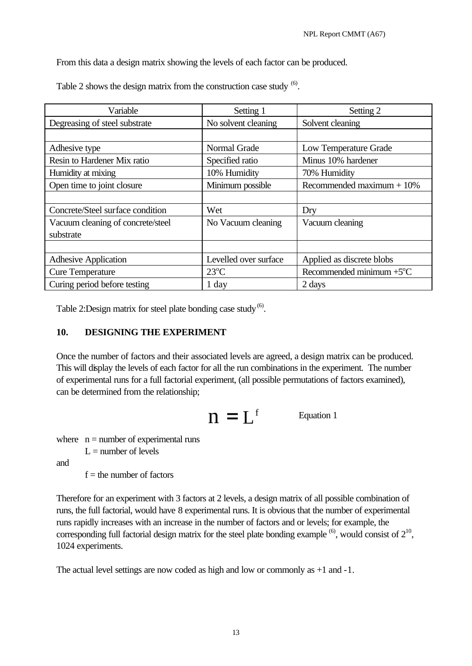From this data a design matrix showing the levels of each factor can be produced.

| Variable                          | Setting 1             | Setting 2                               |  |
|-----------------------------------|-----------------------|-----------------------------------------|--|
| Degreasing of steel substrate     | No solvent cleaning   | Solvent cleaning                        |  |
|                                   |                       |                                         |  |
| Adhesive type                     | Normal Grade          | Low Temperature Grade                   |  |
| Resin to Hardener Mix ratio       | Specified ratio       | Minus 10% hardener                      |  |
| Humidity at mixing                | 10% Humidity          | 70% Humidity                            |  |
| Open time to joint closure        | Minimum possible      | Recommended maximum $+10\%$             |  |
|                                   |                       |                                         |  |
| Concrete/Steel surface condition  | Wet                   | Dry                                     |  |
| Vacuum cleaning of concrete/steel | No Vacuum cleaning    | Vacuum cleaning                         |  |
| substrate                         |                       |                                         |  |
|                                   |                       |                                         |  |
| <b>Adhesive Application</b>       | Levelled over surface | Applied as discrete blobs               |  |
| <b>Cure Temperature</b>           | $23^{\circ}$ C        | Recommended minimum $+5$ <sup>o</sup> C |  |
| Curing period before testing      | 1 day                 | 2 days                                  |  |

Table 2 shows the design matrix from the construction case study  $<sup>(6)</sup>$ .</sup>

Table 2: Design matrix for steel plate bonding case study  $<sup>(6)</sup>$ .</sup>

### **10. DESIGNING THE EXPERIMENT**

Once the number of factors and their associated levels are agreed, a design matrix can be produced. This will display the levels of each factor for all the run combinations in the experiment. The number of experimental runs for a full factorial experiment, (all possible permutations of factors examined), can be determined from the relationship;

$$
n=L^{\scriptscriptstyle f} \qquad \qquad \text{Equation 1}
$$

where  $n =$  number of experimental runs

 $L =$  number of levels

and

 $f =$  the number of factors

Therefore for an experiment with 3 factors at 2 levels, a design matrix of all possible combination of runs, the full factorial, would have 8 experimental runs. It is obvious that the number of experimental runs rapidly increases with an increase in the number of factors and or levels; for example, the corresponding full factorial design matrix for the steel plate bonding example  $^{(6)}$ , would consist of  $2^{10}$ , 1024 experiments.

The actual level settings are now coded as high and low or commonly as +1 and -1.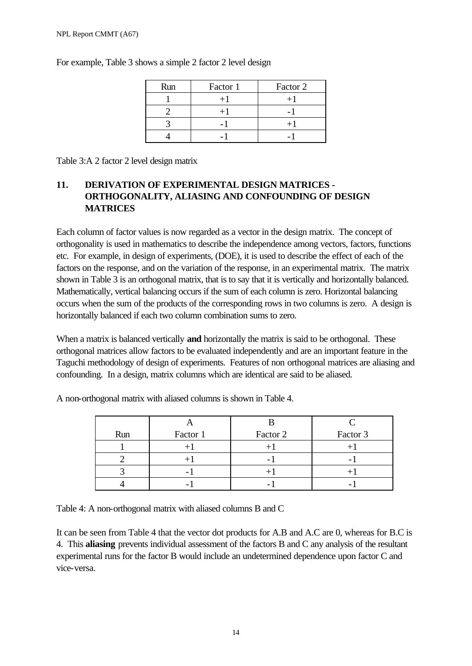| Factor 1<br>Run |  | Factor 2 |
|-----------------|--|----------|
|                 |  |          |
|                 |  |          |
|                 |  |          |
|                 |  |          |

For example, Table 3 shows a simple 2 factor 2 level design

Table 3:A 2 factor 2 level design matrix

# **11. DERIVATION OF EXPERIMENTAL DESIGN MATRICES - ORTHOGONALITY, ALIASING AND CONFOUNDING OF DESIGN MATRICES**

Each column of factor values is now regarded as a vector in the design matrix. The concept of orthogonality is used in mathematics to describe the independence among vectors, factors, functions etc. For example, in design of experiments, (DOE), it is used to describe the effect of each of the factors on the response, and on the variation of the response, in an experimental matrix. The matrix shown in Table 3 is an orthogonal matrix, that is to say that it is vertically and horizontally balanced. Mathematically, vertical balancing occurs if the sum of each column is zero. Horizontal balancing occurs when the sum of the products of the corresponding rows in two columns is zero. A design is horizontally balanced if each two column combination sums to zero.

When a matrix is balanced vertically **and** horizontally the matrix is said to be orthogonal. These orthogonal matrices allow factors to be evaluated independently and are an important feature in the Taguchi methodology of design of experiments. Features of non orthogonal matrices are aliasing and confounding. In a design, matrix columns which are identical are said to be aliased.

| Run | Factor 1 | Factor 2                 | Factor 3 |  |
|-----|----------|--------------------------|----------|--|
|     |          |                          |          |  |
|     |          | $\overline{\phantom{0}}$ |          |  |
|     |          |                          |          |  |
|     |          |                          |          |  |

A non-orthogonal matrix with aliased columns is shown in Table 4.

Table 4: A non-orthogonal matrix with aliased columns B and C

It can be seen from Table 4 that the vector dot products for A.B and A.C are 0, whereas for B.C is 4. This **aliasing** prevents individual assessment of the factors B and C any analysis of the resultant experimental runs for the factor B would include an undetermined dependence upon factor C and vice-versa.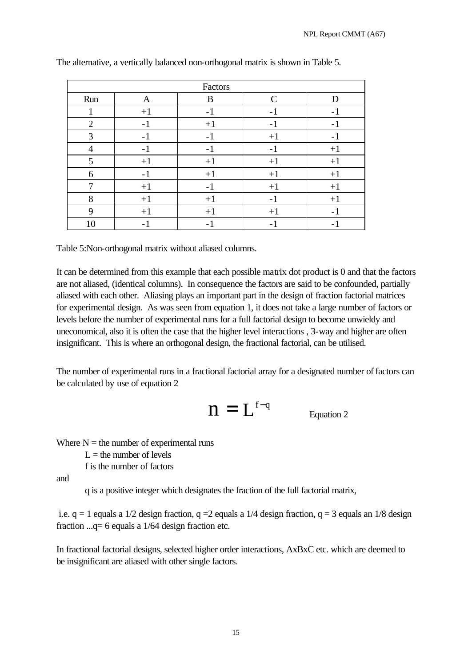| Factors        |                         |                          |      |                          |  |  |
|----------------|-------------------------|--------------------------|------|--------------------------|--|--|
| Run            | $\mathcal{C}$<br>B<br>A |                          |      |                          |  |  |
| $\mathbf{I}$   | $+1$                    | $-1$                     | $-1$ | $\overline{\phantom{0}}$ |  |  |
| 2              | $-1$                    | $+1$                     | $-1$ | $-1$                     |  |  |
| 3              | $-1$                    | $-1$                     | $+1$ | -1                       |  |  |
| $\overline{4}$ | $-1$                    | $-1$                     | $-1$ | $+1$                     |  |  |
| 5              | $+1$                    | $+1$                     | $+1$ | $+1$                     |  |  |
| 6              | $-1$                    | $+1$                     | $+1$ | $+1$                     |  |  |
| 7              | $+1$                    | $-1$                     | $+1$ | $+1$                     |  |  |
| 8              | $+1$                    | $+1$                     | $-1$ | $+1$                     |  |  |
| 9              | $+1$                    | $+1$                     | $+1$ | $\overline{a}$           |  |  |
| 10             | - 1                     | $\overline{\phantom{0}}$ |      |                          |  |  |

The alternative, a vertically balanced non-orthogonal matrix is shown in Table 5.

Table 5:Non-orthogonal matrix without aliased columns.

It can be determined from this example that each possible matrix dot product is 0 and that the factors are not aliased, (identical columns). In consequence the factors are said to be confounded, partially aliased with each other. Aliasing plays an important part in the design of fraction factorial matrices for experimental design. As was seen from equation 1, it does not take a large number of factors or levels before the number of experimental runs for a full factorial design to become unwieldy and uneconomical, also it is often the case that the higher level interactions , 3-way and higher are often insignificant. This is where an orthogonal design, the fractional factorial, can be utilised.

The number of experimental runs in a fractional factorial array for a designated number of factors can be calculated by use of equation 2

$$
n = L^{f-q}
$$
 *Equation 2*

Where  $N =$  the number of experimental runs

 $L =$  the number of levels

f is the number of factors

and

q is a positive integer which designates the fraction of the full factorial matrix,

i.e.  $q = 1$  equals a 1/2 design fraction,  $q = 2$  equals a 1/4 design fraction,  $q = 3$  equals an 1/8 design fraction ...q= 6 equals a 1/64 design fraction etc.

In fractional factorial designs, selected higher order interactions, AxBxC etc. which are deemed to be insignificant are aliased with other single factors.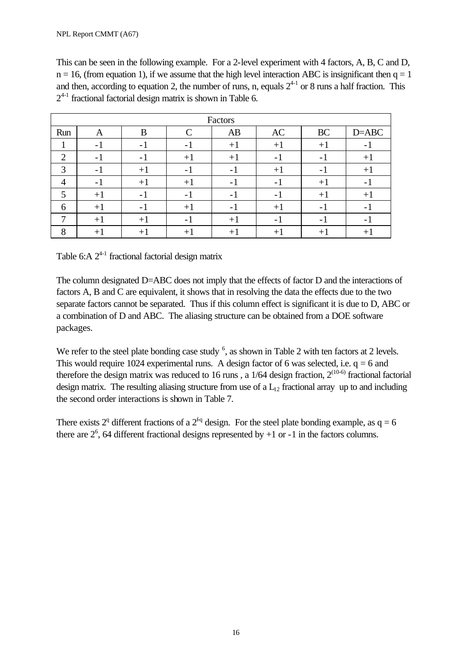This can be seen in the following example. For a 2-level experiment with 4 factors, A, B, C and D,  $n = 16$ , (from equation 1), if we assume that the high level interaction ABC is insignificant then  $q = 1$ and then, according to equation 2, the number of runs, n, equals  $2^{4-1}$  or 8 runs a half fraction. This  $2^{4-1}$  fractional factorial design matrix is shown in Table 6.

|                | Factors |      |               |                          |      |                          |                          |
|----------------|---------|------|---------------|--------------------------|------|--------------------------|--------------------------|
| Run            | A       | В    | $\mathcal{C}$ | AB                       | AC   | <b>BC</b>                | $D = ABC$                |
|                | $-1$    | $-1$ | $-1$          | $+1$                     | $+1$ | $+1$                     | -                        |
| $\overline{2}$ | $-1$    | $-1$ | $+1$          | $+1$                     | - 1  | - 1                      | $+1$                     |
| 3              | $-1$    | $+1$ | $-1$          | - 1                      | $+1$ | – I                      | $+1$                     |
| 4              | $-1$    | $+1$ | $+1$          | $\overline{\phantom{a}}$ | $-1$ | $+1$                     | $\overline{\phantom{0}}$ |
| 5              | $+1$    | $-1$ | $-1$          | - 1                      | – I  | $+1$                     | $+1$                     |
| 6              | $+1$    | $-1$ | $+1$          | $\overline{\phantom{0}}$ | $+1$ | $\overline{\phantom{0}}$ | -                        |
| ┑              | $+1$    | $+1$ | $\sim$ 1      | $+1$                     | $-1$ | $\overline{a}$           |                          |
| $\circ$<br>Ω   | $+1$    | $+1$ | $+1$          | $+1$                     | $+1$ | $+1$                     | $+$ .                    |

Table 6: A  $2^{4-1}$  fractional factorial design matrix

The column designated D=ABC does not imply that the effects of factor D and the interactions of factors A, B and C are equivalent, it shows that in resolving the data the effects due to the two separate factors cannot be separated. Thus if this column effect is significant it is due to D, ABC or a combination of D and ABC. The aliasing structure can be obtained from a DOE software packages.

We refer to the steel plate bonding case study  $6$ , as shown in Table 2 with ten factors at 2 levels. This would require 1024 experimental runs. A design factor of 6 was selected, i.e.  $q = 6$  and therefore the design matrix was reduced to 16 runs, a  $1/64$  design fraction,  $2^{(10-6)}$  fractional factorial design matrix. The resulting aliasing structure from use of a  $L_{12}$  fractional array up to and including the second order interactions is shown in Table 7.

There exists  $2^q$  different fractions of a  $2^{fq}$  design. For the steel plate bonding example, as  $q = 6$ there are  $2^6$ , 64 different fractional designs represented by  $+1$  or  $-1$  in the factors columns.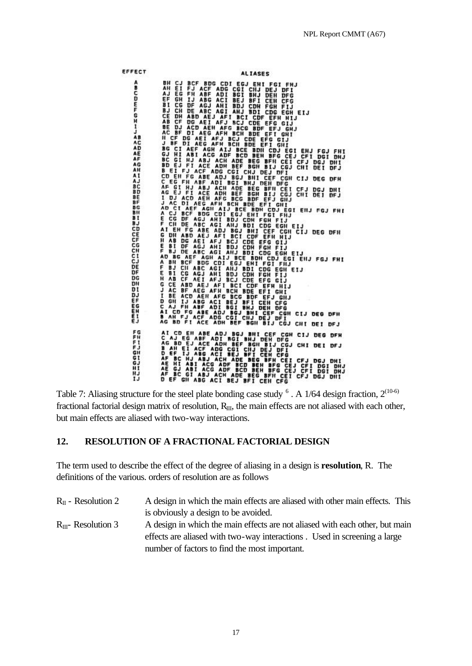MINES ALTASES<br>
ALTASES<br>
ALTASES<br>
ALTASES<br>
ALTASES<br>
ALTER ADE ADISOTIBILITIES<br>
ALTASES AND SCIENT FOR THE TIST<br>
AND CONTRACT AND RELATIVES TO THE TIST<br>
CONTRACT AND CONTRACT CONTRACT CONTRACT AND CONTRACT AND CONTRACT AND N EFFECT **ALIASES** ABCDEFGHIJAAAAAAAAAABBBBBBBBBBBCCCCCCCCCCDDDDDDDEEEE AI CD EN ABE ADJ BGJ BHL CE CG CH DE DFH<br>C AJ EG ABF ADJ BGJ BHL CE CG CIJ DEG DFH<br>AG BD EJ ACE ADH BEF BGH BIJ CGJ CHI DEI DFJ<br>AG BD EJ ACE ADH BEF BGH BIJ CGJ CHI DEI DFJ<br>D EF IJ ABG ACI BEJ BFI CEH CEI CFJ DGJ DHL<br>AE BC 「井井」ののピードで DEI DHJ

Table 7: Aliasing structure for the steel plate bonding case study  $\degree$  . A 1/64 design fraction,  $2^{(10-6)}$ fractional factorial design matrix of resolution,  $R_{III}$ , the main effects are not aliased with each other, but main effects are aliased with two-way interactions.

### **12. RESOLUTION OF A FRACTIONAL FACTORIAL DESIGN**

The term used to describe the effect of the degree of aliasing in a design is **resolution**, R. The definitions of the various. orders of resolution are as follows

| $R_{II}$ - Resolution 2  | A design in which the main effects are aliased with other main effects. This |
|--------------------------|------------------------------------------------------------------------------|
|                          | is obviously a design to be avoided.                                         |
| $R_{III}$ - Resolution 3 | A design in which the main effects are not aliased with each other, but main |
|                          | effects are aliased with two-way interactions. Used in screening a large     |
|                          | number of factors to find the most important.                                |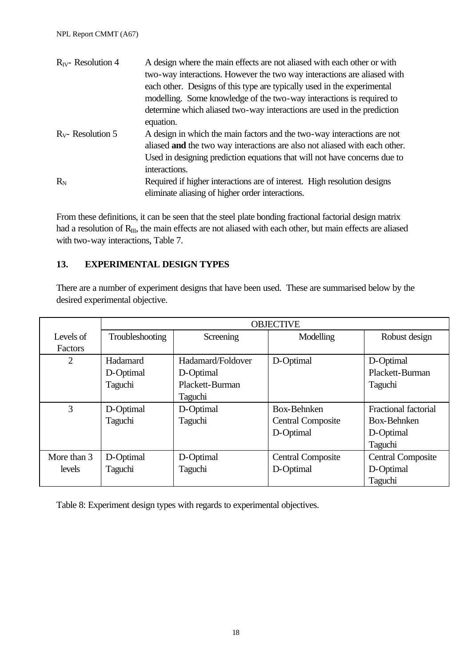| $R_{IV}$ - Resolution 4 | A design where the main effects are not aliased with each other or with              |
|-------------------------|--------------------------------------------------------------------------------------|
|                         | two-way interactions. However the two way interactions are aliased with              |
|                         | each other. Designs of this type are typically used in the experimental              |
|                         | modelling. Some knowledge of the two-way interactions is required to                 |
|                         | determine which aliased two-way interactions are used in the prediction<br>equation. |
|                         |                                                                                      |
| $R_v$ - Resolution 5    | A design in which the main factors and the two-way interactions are not              |
|                         | aliased and the two way interactions are also not aliased with each other.           |
|                         | Used in designing prediction equations that will not have concerns due to            |
|                         | interactions.                                                                        |
| $R_{N}$                 | Required if higher interactions are of interest. High resolution designs             |
|                         | eliminate aliasing of higher order interactions.                                     |

From these definitions, it can be seen that the steel plate bonding fractional factorial design matrix had a resolution of R<sub>III</sub>, the main effects are not aliased with each other, but main effects are aliased with two-way interactions, Table 7.

### **13. EXPERIMENTAL DESIGN TYPES**

There are a number of experiment designs that have been used. These are summarised below by the desired experimental objective.

|                | <b>OBJECTIVE</b> |                   |                          |                             |  |  |  |  |
|----------------|------------------|-------------------|--------------------------|-----------------------------|--|--|--|--|
| Levels of      | Troubleshooting  | Screening         | Modelling                | Robust design               |  |  |  |  |
| Factors        |                  |                   |                          |                             |  |  |  |  |
| $\overline{2}$ | Hadamard         | Hadamard/Foldover | D-Optimal                | D-Optimal                   |  |  |  |  |
|                | D-Optimal        | D-Optimal         |                          | Plackett-Burman             |  |  |  |  |
|                | Taguchi          | Plackett-Burman   |                          | Taguchi                     |  |  |  |  |
|                |                  | <b>Taguchi</b>    |                          |                             |  |  |  |  |
| 3              | D-Optimal        | D-Optimal         | <b>Box-Behnken</b>       | <b>Fractional factorial</b> |  |  |  |  |
|                | Taguchi          | Taguchi           | <b>Central Composite</b> | Box-Behnken                 |  |  |  |  |
|                |                  |                   | D-Optimal                | D-Optimal                   |  |  |  |  |
|                |                  |                   |                          | Taguchi                     |  |  |  |  |
| More than 3    | D-Optimal        | D-Optimal         | <b>Central Composite</b> | <b>Central Composite</b>    |  |  |  |  |
| levels         | Taguchi          | Taguchi           | D-Optimal                | D-Optimal                   |  |  |  |  |
|                |                  |                   |                          | Taguchi                     |  |  |  |  |

Table 8: Experiment design types with regards to experimental objectives.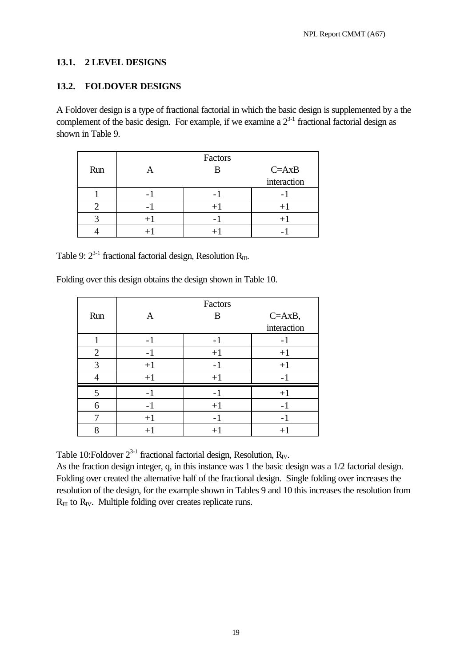### **13.1. 2 LEVEL DESIGNS**

### **13.2. FOLDOVER DESIGNS**

A Foldover design is a type of fractional factorial in which the basic design is supplemented by a the complement of the basic design. For example, if we examine a  $2^{3-1}$  fractional factorial design as shown in Table 9.

|     |      | Factors |             |
|-----|------|---------|-------------|
| Run |      |         | $C = AxB$   |
|     |      |         | interaction |
|     |      |         |             |
|     |      |         |             |
|     | $+1$ |         |             |
|     |      |         |             |

Table 9:  $2^{3-1}$  fractional factorial design, Resolution R<sub>III</sub>.

Folding over this design obtains the design shown in Table 10.

|                |                          | Factors |             |
|----------------|--------------------------|---------|-------------|
| Run            | A                        | B       | $C = AxB,$  |
|                |                          |         | interaction |
|                | $\overline{\phantom{0}}$ |         | - 1         |
| $\overline{2}$ | $-1$                     | $+1$    | $+1$        |
| 3              | $+1$                     | - 1     | $+1$        |
|                | $+1$                     | $+1$    |             |
| 5              | $\overline{a}$           |         | $+1$        |
| 6              | - 1                      | $+1$    |             |
|                | $+1$                     |         |             |
| 8              | $+1$                     | $+1$    | $+1$        |

Table 10: Foldover  $2^{3-1}$  fractional factorial design, Resolution, R<sub>IV</sub>.

As the fraction design integer, q, in this instance was 1 the basic design was a 1/2 factorial design. Folding over created the alternative half of the fractional design. Single folding over increases the resolution of the design, for the example shown in Tables 9 and 10 this increases the resolution from  $R_{III}$  to  $R_{IV}$ . Multiple folding over creates replicate runs.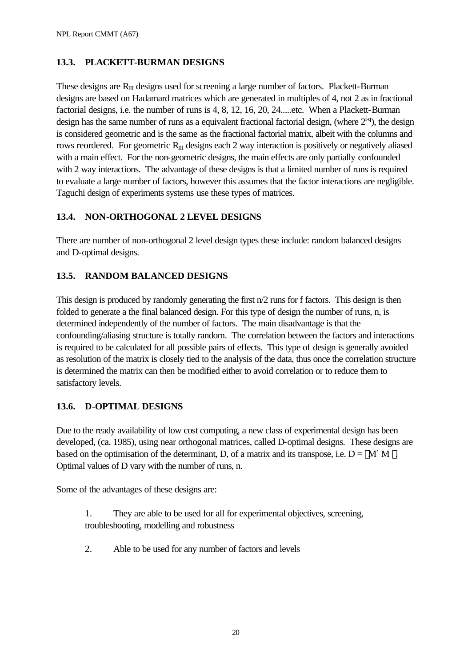# **13.3. PLACKETT-BURMAN DESIGNS**

These designs are  $R_{II}$  designs used for screening a large number of factors. Plackett-Burman designs are based on Hadamard matrices which are generated in multiples of 4, not 2 as in fractional factorial designs, i.e. the number of runs is 4, 8, 12, 16, 20, 24.....etc. When a Plackett-Burman design has the same number of runs as a equivalent fractional factorial design, (where  $2^{fq}$ ), the design is considered geometric and is the same as the fractional factorial matrix, albeit with the columns and rows reordered. For geometric  $R_{III}$  designs each 2 way interaction is positively or negatively aliased with a main effect. For the non-geometric designs, the main effects are only partially confounded with 2 way interactions. The advantage of these designs is that a limited number of runs is required to evaluate a large number of factors, however this assumes that the factor interactions are negligible. Taguchi design of experiments systems use these types of matrices.

# **13.4. NON-ORTHOGONAL 2 LEVEL DESIGNS**

There are number of non-orthogonal 2 level design types these include: random balanced designs and D-optimal designs.

# **13.5. RANDOM BALANCED DESIGNS**

This design is produced by randomly generating the first n/2 runs for f factors. This design is then folded to generate a the final balanced design. For this type of design the number of runs, n, is determined independently of the number of factors. The main disadvantage is that the confounding/aliasing structure is totally random. The correlation between the factors and interactions is required to be calculated for all possible pairs of effects. This type of design is generally avoided as resolution of the matrix is closely tied to the analysis of the data, thus once the correlation structure is determined the matrix can then be modified either to avoid correlation or to reduce them to satisfactory levels.

# **13.6. D-OPTIMAL DESIGNS**

Due to the ready availability of low cost computing, a new class of experimental design has been developed, (ca. 1985), using near orthogonal matrices, called D-optimal designs. These designs are based on the optimisation of the determinant, D, of a matrix and its transpose, i.e.  $D = |M'M|$ . Optimal values of D vary with the number of runs, n.

Some of the advantages of these designs are:

- 1. They are able to be used for all for experimental objectives, screening, troubleshooting, modelling and robustness
- 2. Able to be used for any number of factors and levels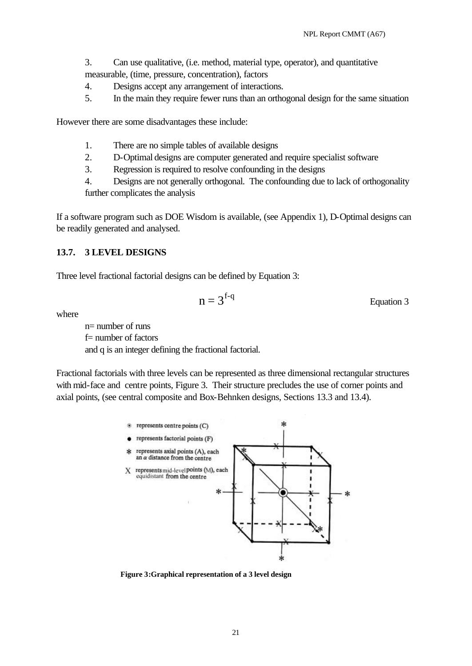- 3. Can use qualitative, (i.e. method, material type, operator), and quantitative measurable, (time, pressure, concentration), factors
- 4. Designs accept any arrangement of interactions.
- 5. In the main they require fewer runs than an orthogonal design for the same situation

However there are some disadvantages these include:

- 1. There are no simple tables of available designs
- 2. D-Optimal designs are computer generated and require specialist software
- 3. Regression is required to resolve confounding in the designs

4. Designs are not generally orthogonal. The confounding due to lack of orthogonality further complicates the analysis

If a software program such as DOE Wisdom is available, (see Appendix 1), D-Optimal designs can be readily generated and analysed.

### **13.7. 3 LEVEL DESIGNS**

Three level fractional factorial designs can be defined by Equation 3:

$$
n = 3f-q
$$
 Equation 3

where

 $n=$  number of runs f= number of factors and q is an integer defining the fractional factorial.

Fractional factorials with three levels can be represented as three dimensional rectangular structures with mid-face and centre points, Figure 3. Their structure precludes the use of corner points and axial points, (see central composite and Box-Behnken designs, Sections 13.3 and 13.4).



**Figure 3:Graphical representation of a 3 level design**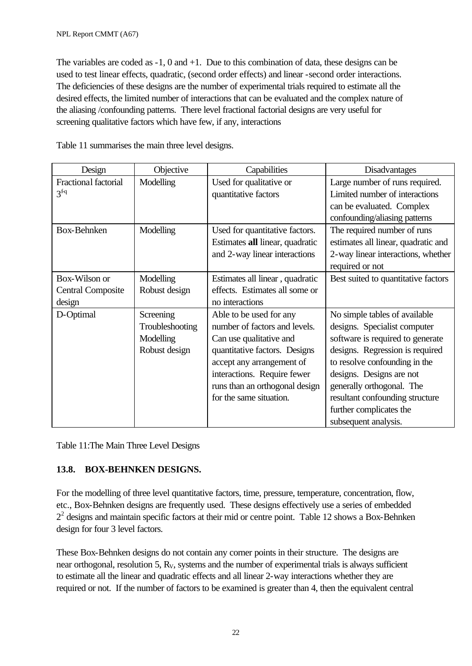The variables are coded as -1, 0 and +1. Due to this combination of data, these designs can be used to test linear effects, quadratic, (second order effects) and linear -second order interactions. The deficiencies of these designs are the number of experimental trials required to estimate all the desired effects, the limited number of interactions that can be evaluated and the complex nature of the aliasing /confounding patterns. There level fractional factorial designs are very useful for screening qualitative factors which have few, if any, interactions

Table 11 summarises the main three level designs.

| Design                                              | Objective                                                  | Capabilities                                                                                                                                                                                                                                  | Disadvantages                                                                                                                                                                                                                                                                                                        |
|-----------------------------------------------------|------------------------------------------------------------|-----------------------------------------------------------------------------------------------------------------------------------------------------------------------------------------------------------------------------------------------|----------------------------------------------------------------------------------------------------------------------------------------------------------------------------------------------------------------------------------------------------------------------------------------------------------------------|
| Fractional factorial<br>$3f-q$                      | Modelling                                                  | Used for qualitative or<br>quantitative factors                                                                                                                                                                                               | Large number of runs required.<br>Limited number of interactions<br>can be evaluated. Complex<br>confounding/aliasing patterns                                                                                                                                                                                       |
| Box-Behnken                                         | Modelling                                                  | Used for quantitative factors.<br>Estimates all linear, quadratic<br>and 2-way linear interactions                                                                                                                                            | The required number of runs<br>estimates all linear, quadratic and<br>2-way linear interactions, whether<br>required or not                                                                                                                                                                                          |
| Box-Wilson or<br><b>Central Composite</b><br>design | Modelling<br>Robust design                                 | Estimates all linear, quadratic<br>effects. Estimates all some or<br>no interactions                                                                                                                                                          | Best suited to quantitative factors                                                                                                                                                                                                                                                                                  |
| D-Optimal                                           | Screening<br>Troubleshooting<br>Modelling<br>Robust design | Able to be used for any<br>number of factors and levels.<br>Can use qualitative and<br>quantitative factors. Designs<br>accept any arrangement of<br>interactions. Require fewer<br>runs than an orthogonal design<br>for the same situation. | No simple tables of available<br>designs. Specialist computer<br>software is required to generate<br>designs. Regression is required<br>to resolve confounding in the<br>designs. Designs are not<br>generally orthogonal. The<br>resultant confounding structure<br>further complicates the<br>subsequent analysis. |

Table 11:The Main Three Level Designs

### **13.8. BOX-BEHNKEN DESIGNS.**

For the modelling of three level quantitative factors, time, pressure, temperature, concentration, flow, etc., Box-Behnken designs are frequently used. These designs effectively use a series of embedded  $2<sup>2</sup>$  designs and maintain specific factors at their mid or centre point. Table 12 shows a Box-Behnken design for four 3 level factors.

These Box-Behnken designs do not contain any corner points in their structure. The designs are near orthogonal, resolution 5, R<sub>V</sub>, systems and the number of experimental trials is always sufficient to estimate all the linear and quadratic effects and all linear 2-way interactions whether they are required or not. If the number of factors to be examined is greater than 4, then the equivalent central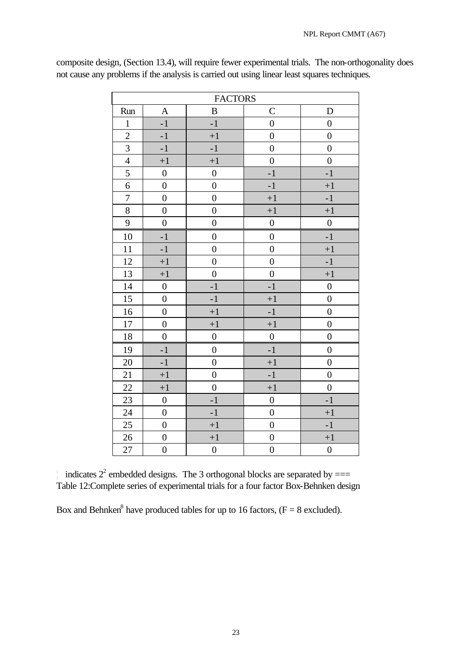|                  | <b>FACTORS</b>   |                  |                  |                  |  |  |
|------------------|------------------|------------------|------------------|------------------|--|--|
| Run              | A                | $\, {\bf B}$     | $\mathcal{C}$    | D                |  |  |
| $\mathbf{1}$     | $-1$             | $-1$             | $\overline{0}$   | $\boldsymbol{0}$ |  |  |
| $\overline{2}$   | $-1$             | $+1$             | $\overline{0}$   | $\overline{0}$   |  |  |
| $\mathfrak{Z}$   | $-1$             | $\textbf{-1}$    | $\boldsymbol{0}$ | $\boldsymbol{0}$ |  |  |
| $\overline{4}$   | $+1$             | $+1$             | $\boldsymbol{0}$ | $\boldsymbol{0}$ |  |  |
| 5                | $\boldsymbol{0}$ | $\boldsymbol{0}$ | $-1$             | $-1$             |  |  |
| $\overline{6}$   | $\boldsymbol{0}$ | $\boldsymbol{0}$ | $-1$             | $+1$             |  |  |
| $\boldsymbol{7}$ | $\overline{0}$   | $\overline{0}$   | $+1$             | $-1$             |  |  |
| $8\,$            | $\overline{0}$   | $\overline{0}$   | $+1$             | $+1$             |  |  |
| $\mathbf{9}$     | $\boldsymbol{0}$ | $\boldsymbol{0}$ | $\boldsymbol{0}$ | $\boldsymbol{0}$ |  |  |
| 10               | $-1$             | $\boldsymbol{0}$ | $\boldsymbol{0}$ | $-1$             |  |  |
| 11               | $-1$             | $\overline{0}$   | $\overline{0}$   | $+1$             |  |  |
| 12               | $+1$             | $\overline{0}$   | $\overline{0}$   | $-1$             |  |  |
| 13               | $+1$             | $\boldsymbol{0}$ | $\boldsymbol{0}$ | $+1$             |  |  |
| 14               | $\boldsymbol{0}$ | $-1$             | $-1$             | $\boldsymbol{0}$ |  |  |
| 15               | $\boldsymbol{0}$ | $-1$             | $+1$             | $\boldsymbol{0}$ |  |  |
| 16               | $\boldsymbol{0}$ | $+1$             | $-1$             | $\overline{0}$   |  |  |
| $17\,$           | $\boldsymbol{0}$ | $+1$             | $+1$             | $\boldsymbol{0}$ |  |  |
| 18               | $\overline{0}$   | $\boldsymbol{0}$ | $\boldsymbol{0}$ | $\overline{0}$   |  |  |
| 19               | $-1$             | $\boldsymbol{0}$ | $-1$             | $\boldsymbol{0}$ |  |  |
| 20               | $-1$             | $\boldsymbol{0}$ | $+1$             | $\boldsymbol{0}$ |  |  |
| 21               | $+1$             | $\boldsymbol{0}$ | $-1$             | $\boldsymbol{0}$ |  |  |
| $22\,$           | $+1$             | $\boldsymbol{0}$ | $+1$             | $\overline{0}$   |  |  |
| 23               | $\boldsymbol{0}$ | $-1$             | $\boldsymbol{0}$ | $-1$             |  |  |
| 24               | $\overline{0}$   | $\textbf{-1}$    | $\overline{0}$   | $+1$             |  |  |
| 25               | $\overline{0}$   | $+1$             | $\boldsymbol{0}$ | $-1$             |  |  |
| 26               | $\boldsymbol{0}$ | $+1$             | $\boldsymbol{0}$ | $+1$             |  |  |
| $27\,$           | $\boldsymbol{0}$ | $\boldsymbol{0}$ | $\boldsymbol{0}$ | $\boldsymbol{0}$ |  |  |

composite design, (Section 13.4), will require fewer experimental trials. The non-orthogonality does not cause any problems if the analysis is carried out using linear least squares techniques.

indicates  $2^2$  embedded designs. The 3 orthogonal blocks are separated by  $==$ Table 12:Complete series of experimental trials for a four factor Box-Behnken design

Box and Behnken<sup>8</sup> have produced tables for up to 16 factors,  $(F = 8 \text{ excluded})$ .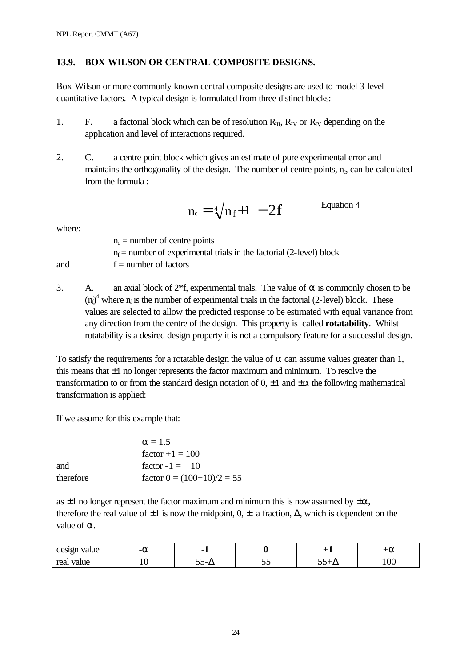### **13.9. BOX-WILSON OR CENTRAL COMPOSITE DESIGNS.**

Box-Wilson or more commonly known central composite designs are used to model 3-level quantitative factors. A typical design is formulated from three distinct blocks:

- 1. F. a factorial block which can be of resolution  $R_{III}$ ,  $R_{IV}$  or  $R_{IV}$  depending on the application and level of interactions required.
- 2. C. a centre point block which gives an estimate of pure experimental error and maintains the orthogonality of the design. The number of centre points,  $n_c$ , can be calculated from the formula :

$$
n_c = \sqrt[4]{n_f + 1} - 2f
$$
 Equation 4

where:

 $n_c$  = number of centre points  $n_f$  = number of experimental trials in the factorial (2-level) block and  $f =$  number of factors

3. A. an axial block of  $2*f$ , experimental trials. The value of  $\alpha$  is commonly chosen to be  $(n_f)^4$  where  $n_f$  is the number of experimental trials in the factorial (2-level) block. These values are selected to allow the predicted response to be estimated with equal variance from any direction from the centre of the design. This property is called **rotatability**. Whilst rotatability is a desired design property it is not a compulsory feature for a successful design.

To satisfy the requirements for a rotatable design the value of  $\alpha$  can assume values greater than 1, this means that  $\pm 1$  no longer represents the factor maximum and minimum. To resolve the transformation to or from the standard design notation of  $0, \pm 1$  and  $\pm \alpha$  the following mathematical transformation is applied:

If we assume for this example that:

|           | $\alpha = 1.5$               |
|-----------|------------------------------|
|           | $factor +1 = 100$            |
| and       | factor $-1 = 10$             |
| therefore | factor $0 = (100+10)/2 = 55$ |

as  $\pm 1$  no longer represent the factor maximum and minimum this is now assumed by  $\pm \alpha$ , therefore the real value of  $\pm 1$  is now the midpoint,  $0, \pm$  a fraction,  $\Delta$ , which is dependent on the value of  $\alpha$ .

| value<br>design | -а  | -       |   | $\cdot$ $\sim$ | -<br>Га |
|-----------------|-----|---------|---|----------------|---------|
| real<br>value   | ⊥ ∪ | ັັ<br>_ | ັ |                | 100     |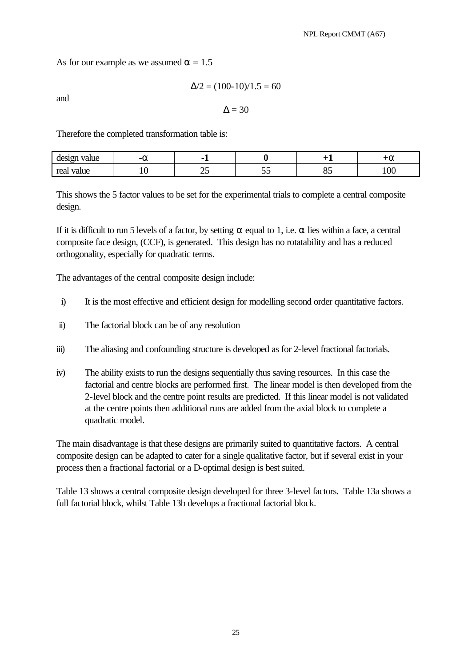As for our example as we assumed  $\alpha = 1.5$ 

and

$$
\Delta/2 = (100-10)/1.5 = 60
$$

 $\Lambda = 30$ 

Therefore the completed transformation table is:

| value<br>ിറ്റാന<br>uc.<br>. | -- | -    |                       | . . | -<br>Га |
|-----------------------------|----|------|-----------------------|-----|---------|
| rea<br>value<br>wu          | ∸∿ | ت سے | $\tilde{\phantom{a}}$ | ັັ  | 100     |

This shows the 5 factor values to be set for the experimental trials to complete a central composite design.

If it is difficult to run 5 levels of a factor, by setting  $\alpha$  equal to 1, i.e.  $\alpha$  lies within a face, a central composite face design, (CCF), is generated. This design has no rotatability and has a reduced orthogonality, especially for quadratic terms.

The advantages of the central composite design include:

- i) It is the most effective and efficient design for modelling second order quantitative factors.
- ii) The factorial block can be of any resolution
- iii) The aliasing and confounding structure is developed as for 2-level fractional factorials.
- iv) The ability exists to run the designs sequentially thus saving resources. In this case the factorial and centre blocks are performed first. The linear model is then developed from the 2-level block and the centre point results are predicted. If this linear model is not validated at the centre points then additional runs are added from the axial block to complete a quadratic model.

The main disadvantage is that these designs are primarily suited to quantitative factors. A central composite design can be adapted to cater for a single qualitative factor, but if several exist in your process then a fractional factorial or a D-optimal design is best suited.

Table 13 shows a central composite design developed for three 3-level factors. Table 13a shows a full factorial block, whilst Table 13b develops a fractional factorial block.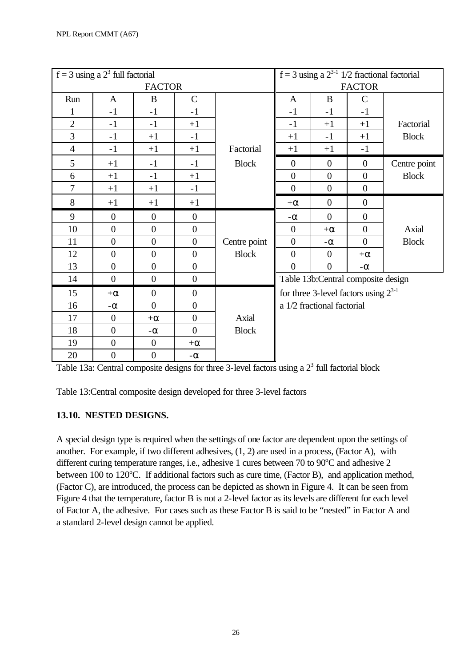|                | $f = 3$ using a $23$ full factorial |                  |                  |              |                  |                                           |                  | f = 3 using a $2^{3-1}$ 1/2 fractional factorial |
|----------------|-------------------------------------|------------------|------------------|--------------|------------------|-------------------------------------------|------------------|--------------------------------------------------|
|                |                                     | <b>FACTOR</b>    |                  |              |                  |                                           | <b>FACTOR</b>    |                                                  |
| Run            | $\mathbf{A}$                        | $\bf{B}$         | $\mathbf C$      |              | $\mathbf{A}$     | B                                         | $\mathcal{C}$    |                                                  |
|                | $-1$                                | $-1$             | $-1$             |              | $-1$             | $-1$                                      | $-1$             |                                                  |
| $\overline{2}$ | $-1$                                | $-1$             | $+1$             |              | $-1$             | $+1$                                      | $+1$             | Factorial                                        |
| 3              | $-1$                                | $+1$             | $-1$             |              | $+1$             | $-1$                                      | $+1$             | <b>Block</b>                                     |
| $\overline{4}$ | $-1$                                | $+1$             | $+1$             | Factorial    | $+1$             | $+1$                                      | $-1$             |                                                  |
| 5              | $+1$                                | $-1$             | $-1$             | <b>Block</b> | $\overline{0}$   | $\overline{0}$                            | $\mathbf{0}$     | Centre point                                     |
| 6              | $+1$                                | $-1$             | $+1$             |              | $\boldsymbol{0}$ | $\boldsymbol{0}$                          | $\overline{0}$   | <b>Block</b>                                     |
| 7              | $+1$                                | $+1$             | $-1$             |              | $\boldsymbol{0}$ | $\overline{0}$                            | $\boldsymbol{0}$ |                                                  |
| 8              | $+1$                                | $+1$             | $+1$             |              | $+\alpha$        | $\overline{0}$                            | $\boldsymbol{0}$ |                                                  |
| 9              | $\overline{0}$                      | $\overline{0}$   | $\overline{0}$   |              | $-\alpha$        | $\overline{0}$                            | $\overline{0}$   |                                                  |
| 10             | $\overline{0}$                      | $\overline{0}$   | $\overline{0}$   |              | $\overline{0}$   | $+\alpha$                                 | $\overline{0}$   | Axial                                            |
| 11             | $\overline{0}$                      | $\overline{0}$   | $\overline{0}$   | Centre point | $\overline{0}$   | $-\alpha$                                 | $\overline{0}$   | <b>Block</b>                                     |
| 12             | $\boldsymbol{0}$                    | $\boldsymbol{0}$ | $\overline{0}$   | <b>Block</b> | $\boldsymbol{0}$ | $\overline{0}$                            | $+\alpha$        |                                                  |
| 13             | $\overline{0}$                      | $\overline{0}$   | $\overline{0}$   |              | $\overline{0}$   | $\overline{0}$                            | $-\alpha$        |                                                  |
| 14             | $\overline{0}$                      | $\overline{0}$   | $\overline{0}$   |              |                  | Table 13b:Central composite design        |                  |                                                  |
| 15             | $+\alpha$                           | $\boldsymbol{0}$ | $\boldsymbol{0}$ |              |                  | for three 3-level factors using $2^{3-1}$ |                  |                                                  |
| 16             | $-\alpha$                           | $\boldsymbol{0}$ | $\overline{0}$   |              |                  | a 1/2 fractional factorial                |                  |                                                  |
| 17             | $\mathbf{0}$                        | $+\alpha$        | $\overline{0}$   | Axial        |                  |                                           |                  |                                                  |
| 18             | $\boldsymbol{0}$                    | - $\alpha$       | $\theta$         | <b>Block</b> |                  |                                           |                  |                                                  |
| 19             | $\boldsymbol{0}$                    | $\boldsymbol{0}$ | $+\alpha$        |              |                  |                                           |                  |                                                  |
| 20             | $\boldsymbol{0}$                    | $\boldsymbol{0}$ | $-\alpha$        |              |                  |                                           |                  |                                                  |

Table 13a: Central composite designs for three 3-level factors using a  $2<sup>3</sup>$  full factorial block

Table 13:Central composite design developed for three 3-level factors

# **13.10. NESTED DESIGNS.**

A special design type is required when the settings of one factor are dependent upon the settings of another. For example, if two different adhesives, (1, 2) are used in a process, (Factor A), with different curing temperature ranges, i.e., adhesive 1 cures between 70 to  $90^{\circ}$ C and adhesive 2 between 100 to 120°C. If additional factors such as cure time, (Factor B), and application method, (Factor C), are introduced, the process can be depicted as shown in Figure 4. It can be seen from Figure 4 that the temperature, factor B is not a 2-level factor as its levels are different for each level of Factor A, the adhesive. For cases such as these Factor B is said to be "nested" in Factor A and a standard 2-level design cannot be applied.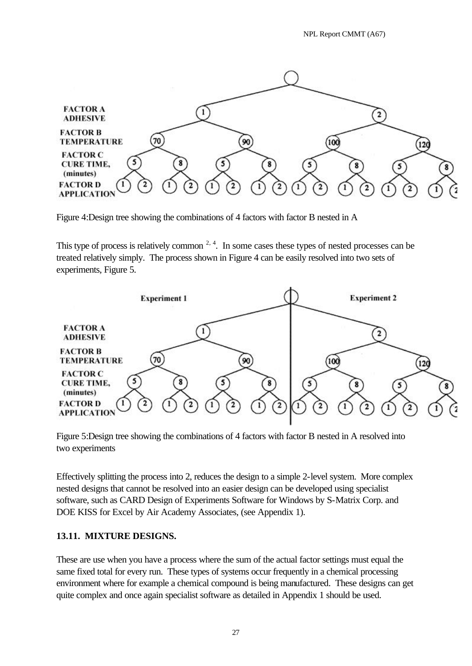

Figure 4:Design tree showing the combinations of 4 factors with factor B nested in A

This type of process is relatively common  $2, 4$ . In some cases these types of nested processes can be treated relatively simply. The process shown in Figure 4 can be easily resolved into two sets of experiments, Figure 5.



Figure 5:Design tree showing the combinations of 4 factors with factor B nested in A resolved into two experiments

Effectively splitting the process into 2, reduces the design to a simple 2-level system. More complex nested designs that cannot be resolved into an easier design can be developed using specialist software, such as CARD Design of Experiments Software for Windows by S-Matrix Corp. and DOE KISS for Excel by Air Academy Associates, (see Appendix 1).

### **13.11. MIXTURE DESIGNS.**

These are use when you have a process where the sum of the actual factor settings must equal the same fixed total for every run. These types of systems occur frequently in a chemical processing environment where for example a chemical compound is being manufactured. These designs can get quite complex and once again specialist software as detailed in Appendix 1 should be used.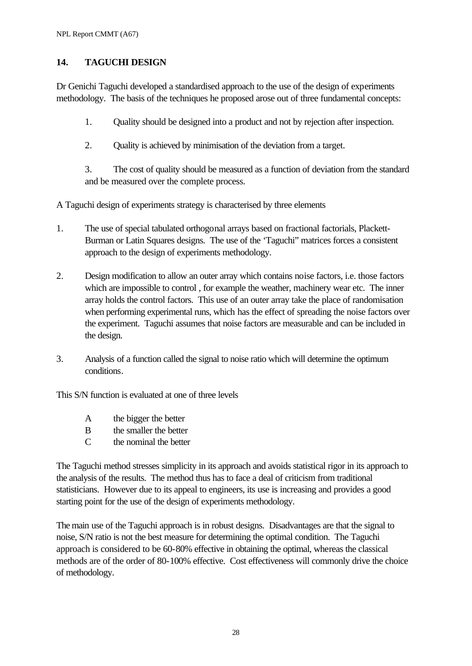### **14. TAGUCHI DESIGN**

Dr Genichi Taguchi developed a standardised approach to the use of the design of experiments methodology. The basis of the techniques he proposed arose out of three fundamental concepts:

1. Quality should be designed into a product and not by rejection after inspection.

2. Quality is achieved by minimisation of the deviation from a target.

3. The cost of quality should be measured as a function of deviation from the standard and be measured over the complete process.

A Taguchi design of experiments strategy is characterised by three elements

- 1. The use of special tabulated orthogonal arrays based on fractional factorials, Plackett-Burman or Latin Squares designs. The use of the 'Taguchi" matrices forces a consistent approach to the design of experiments methodology.
- 2. Design modification to allow an outer array which contains noise factors, i.e. those factors which are impossible to control , for example the weather, machinery wear etc. The inner array holds the control factors. This use of an outer array take the place of randomisation when performing experimental runs, which has the effect of spreading the noise factors over the experiment. Taguchi assumes that noise factors are measurable and can be included in the design.
- 3. Analysis of a function called the signal to noise ratio which will determine the optimum conditions.

This S/N function is evaluated at one of three levels

- A the bigger the better
- B the smaller the better
- C the nominal the better

The Taguchi method stresses simplicity in its approach and avoids statistical rigor in its approach to the analysis of the results. The method thus has to face a deal of criticism from traditional statisticians. However due to its appeal to engineers, its use is increasing and provides a good starting point for the use of the design of experiments methodology.

The main use of the Taguchi approach is in robust designs. Disadvantages are that the signal to noise, S/N ratio is not the best measure for determining the optimal condition. The Taguchi approach is considered to be 60-80% effective in obtaining the optimal, whereas the classical methods are of the order of 80-100% effective. Cost effectiveness will commonly drive the choice of methodology.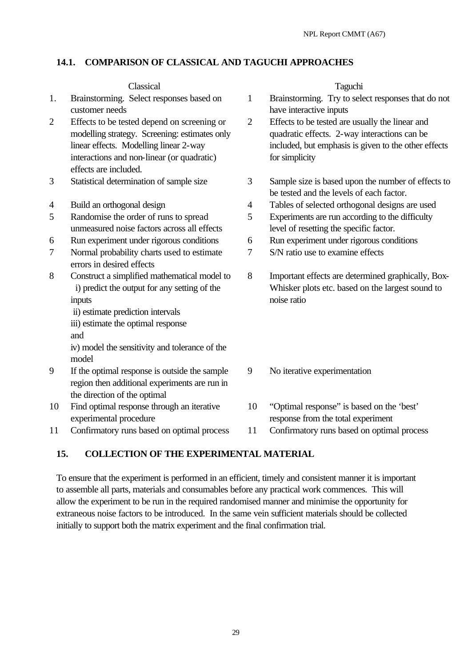### **14.1. COMPARISON OF CLASSICAL AND TAGUCHI APPROACHES**

### Classical Taguchi

- 1. Brainstorming. Select responses based on customer needs
- 2 Effects to be tested depend on screening or modelling strategy. Screening: estimates only linear effects. Modelling linear 2-way interactions and non-linear (or quadratic) effects are included.
- 
- 
- 5 Randomise the order of runs to spread unmeasured noise factors across all effects
- 
- 7 Normal probability charts used to estimate errors in desired effects
- 8 Construct a simplified mathematical model to i) predict the output for any setting of the inputs
	- ii) estimate prediction intervals
	- iii) estimate the optimal response
	- and

iv) model the sensitivity and tolerance of the model

- 9 If the optimal response is outside the sample region then additional experiments are run in the direction of the optimal
- 10 Find optimal response through an iterative experimental procedure

11 Confirmatory runs based on optimal process 11 Confirmatory runs based on optimal process

- 1 Brainstorming. Try to select responses that do not have interactive inputs
- 2 Effects to be tested are usually the linear and quadratic effects. 2-way interactions can be included, but emphasis is given to the other effects for simplicity
- 3 Statistical determination of sample size 3 Sample size is based upon the number of effects to be tested and the levels of each factor.
- 4 Build an orthogonal design 4 Tables of selected orthogonal designs are used
	- 5 Experiments are run according to the difficulty level of resetting the specific factor.
- 6 Run experiment under rigorous conditions 6 Run experiment under rigorous conditions
	- 7 S/N ratio use to examine effects
	- 8 Important effects are determined graphically, Box-Whisker plots etc. based on the largest sound to noise ratio
	- 9 No iterative experimentation
	- 10 "Optimal response" is based on the 'best' response from the total experiment
	-

### **15. COLLECTION OF THE EXPERIMENTAL MATERIAL**

To ensure that the experiment is performed in an efficient, timely and consistent manner it is important to assemble all parts, materials and consumables before any practical work commences. This will allow the experiment to be run in the required randomised manner and minimise the opportunity for extraneous noise factors to be introduced. In the same vein sufficient materials should be collected initially to support both the matrix experiment and the final confirmation trial.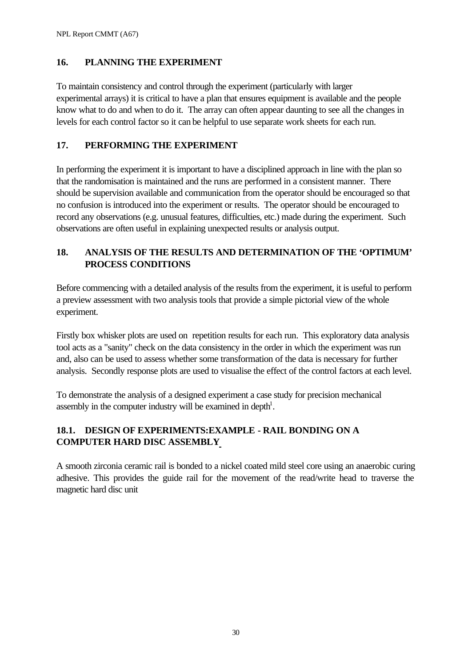### **16. PLANNING THE EXPERIMENT**

To maintain consistency and control through the experiment (particularly with larger experimental arrays) it is critical to have a plan that ensures equipment is available and the people know what to do and when to do it. The array can often appear daunting to see all the changes in levels for each control factor so it can be helpful to use separate work sheets for each run.

### **17. PERFORMING THE EXPERIMENT**

In performing the experiment it is important to have a disciplined approach in line with the plan so that the randomisation is maintained and the runs are performed in a consistent manner. There should be supervision available and communication from the operator should be encouraged so that no confusion is introduced into the experiment or results. The operator should be encouraged to record any observations (e.g. unusual features, difficulties, etc.) made during the experiment. Such observations are often useful in explaining unexpected results or analysis output.

### **18. ANALYSIS OF THE RESULTS AND DETERMINATION OF THE 'OPTIMUM' PROCESS CONDITIONS**

Before commencing with a detailed analysis of the results from the experiment, it is useful to perform a preview assessment with two analysis tools that provide a simple pictorial view of the whole experiment.

Firstly box whisker plots are used on repetition results for each run. This exploratory data analysis tool acts as a "sanity" check on the data consistency in the order in which the experiment was run and, also can be used to assess whether some transformation of the data is necessary for further analysis. Secondly response plots are used to visualise the effect of the control factors at each level.

To demonstrate the analysis of a designed experiment a case study for precision mechanical assembly in the computer industry will be examined in depth<sup>1</sup>.

# **18.1. DESIGN OF EXPERIMENTS:EXAMPLE - RAIL BONDING ON A COMPUTER HARD DISC ASSEMBLY**

A smooth zirconia ceramic rail is bonded to a nickel coated mild steel core using an anaerobic curing adhesive. This provides the guide rail for the movement of the read/write head to traverse the magnetic hard disc unit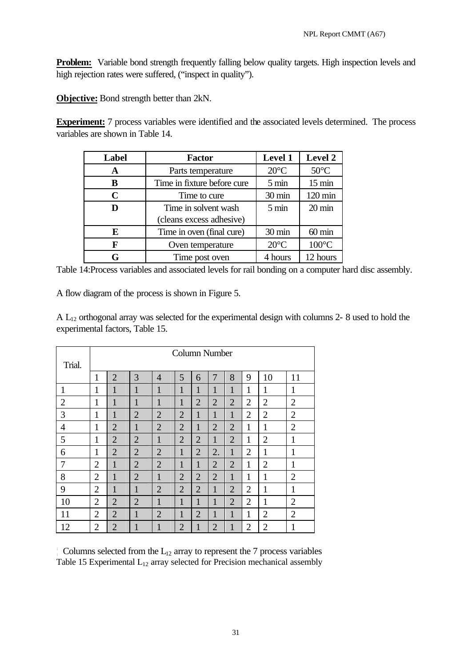**Problem:** Variable bond strength frequently falling below quality targets. High inspection levels and high rejection rates were suffered, ("inspect in quality").

**Objective:** Bond strength better than 2kN.

**Experiment:** 7 process variables were identified and the associated levels determined. The process variables are shown in Table 14.

| <b>Label</b> | <b>Factor</b>               | <b>Level 1</b>  | <b>Level 2</b>   |
|--------------|-----------------------------|-----------------|------------------|
| A            | Parts temperature           | $20^{\circ}$ C  | $50^{\circ}$ C   |
| B            | Time in fixture before cure | $5 \text{ min}$ | $15 \text{ min}$ |
| C            | Time to cure                | 30 min          | 120 min          |
| D            | Time in solvent wash        | $5 \text{ min}$ | $20 \text{ min}$ |
|              | (cleans excess adhesive)    |                 |                  |
| E            | Time in oven (final cure)   | 30 min          | $60 \text{ min}$ |
| F            | Oven temperature            | $20^{\circ}$ C  | $100^{\circ}$ C  |
| G            | Time post oven              | 4 hours         | 12 hours         |

Table 14:Process variables and associated levels for rail bonding on a computer hard disc assembly.

A flow diagram of the process is shown in Figure 5.

 $A L_{12}$  orthogonal array was selected for the experimental design with columns 2-8 used to hold the experimental factors, Table 15.

| Trial.         |                |                |                |                |                |                | Column Number  |                |                |                |                |
|----------------|----------------|----------------|----------------|----------------|----------------|----------------|----------------|----------------|----------------|----------------|----------------|
|                | 1              | $\overline{2}$ | 3              | $\overline{4}$ | 5              | 6              | 7              | 8              | 9              | 10             | 11             |
| 1              | 1              | 1              | 1              | $\mathbf{1}$   | 1              | 1              | 1              | 1              | 1              | 1              | 1              |
| $\overline{2}$ | 1              | 1              | 1              | 1              | 1              | $\overline{2}$ | $\overline{2}$ | $\overline{2}$ | $\overline{2}$ | $\overline{2}$ | $\overline{2}$ |
| 3              | $\mathbf{1}$   | 1              | $\overline{2}$ | $\overline{2}$ | $\overline{2}$ | $\mathbf{1}$   | 1              | $\mathbf{1}$   | $\overline{2}$ | $\overline{2}$ | $\overline{2}$ |
| 4              | 1              | $\overline{2}$ | 1              | $\overline{2}$ | $\overline{2}$ | 1              | $\overline{2}$ | $\overline{2}$ | 1              | 1              | $\overline{2}$ |
| 5              | 1              | $\overline{2}$ | $\overline{2}$ | $\mathbf{1}$   | $\overline{2}$ | $\overline{2}$ | $\mathbf{1}$   | $\overline{2}$ | 1              | $\overline{2}$ | 1              |
| 6              | 1              | $\overline{2}$ | $\overline{2}$ | $\overline{2}$ | 1              | $\overline{2}$ | 2.             | 1              | $\overline{2}$ | 1              | 1              |
| 7              | $\overline{2}$ | 1              | $\overline{2}$ | $\overline{2}$ | $\mathbf{1}$   | 1              | $\overline{2}$ | $\overline{2}$ | 1              | $\overline{2}$ | 1              |
| 8              | $\overline{2}$ | $\mathbf{1}$   | $\overline{2}$ | $\mathbf{1}$   | $\overline{2}$ | $\overline{2}$ | $\overline{2}$ | $\mathbf{1}$   | 1              | 1              | $\overline{2}$ |
| 9              | $\overline{2}$ | 1              | $\mathbf{1}$   | $\overline{2}$ | $\overline{2}$ | $\overline{2}$ | $\mathbf{1}$   | $\overline{2}$ | $\overline{2}$ | 1              | 1              |
| 10             | $\overline{2}$ | $\overline{2}$ | $\overline{2}$ | 1              | 1              | 1              | 1              | $\overline{2}$ | $\overline{2}$ | 1              | $\overline{2}$ |
| 11             | 2              | $\overline{2}$ | 1              | 2              | 1              | $\overline{2}$ | $\mathbf{1}$   | 1              | 1              | $\overline{2}$ | $\overline{2}$ |
| 12             | $\overline{2}$ | $\overline{2}$ | 1              | 1              | $\overline{2}$ | 1              | $\overline{2}$ | 1              | $\overline{2}$ | $\overline{2}$ | 1              |

 $\mid$  Columns selected from the  $L_{12}$  array to represent the 7 process variables Table 15 Experimental  $L_{12}$  array selected for Precision mechanical assembly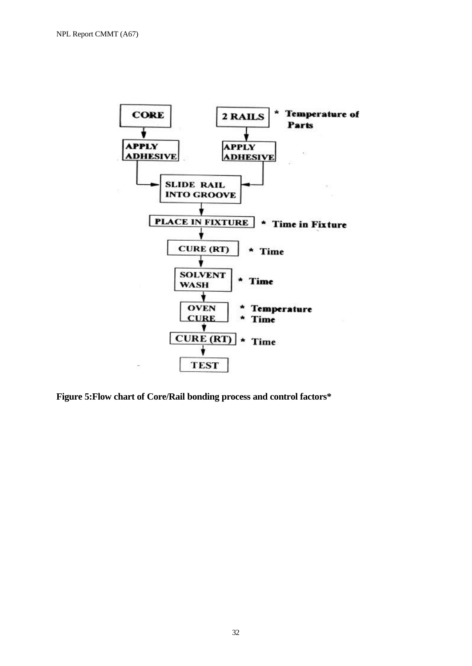

**Figure 5:Flow chart of Core/Rail bonding process and control factors\***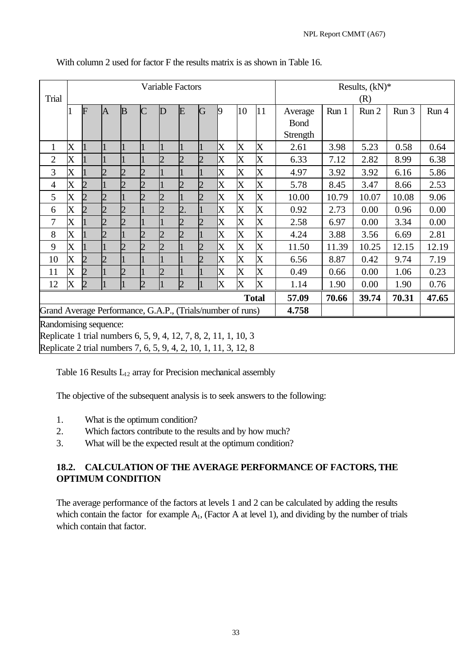|                                                                 |                                                                 |                                                            |                             |   |                       |                | <b>Variable Factors</b> |   |                           |                           |                           | Results, $(kN)*$ |       |       |       |       |
|-----------------------------------------------------------------|-----------------------------------------------------------------|------------------------------------------------------------|-----------------------------|---|-----------------------|----------------|-------------------------|---|---------------------------|---------------------------|---------------------------|------------------|-------|-------|-------|-------|
| Trial                                                           |                                                                 |                                                            |                             |   |                       |                |                         |   |                           |                           |                           |                  |       | (R)   |       |       |
|                                                                 |                                                                 | F                                                          | $\overline{A}$              | B |                       | D              | E                       | G | $\vert 9$                 | 10                        | 11                        | Average          | Run 1 | Run 2 | Run 3 | Run 4 |
|                                                                 |                                                                 |                                                            |                             |   |                       |                |                         |   |                           |                           |                           | <b>Bond</b>      |       |       |       |       |
|                                                                 |                                                                 |                                                            |                             |   |                       |                |                         |   |                           |                           |                           | Strength         |       |       |       |       |
| $\mathbf{1}$                                                    | $\rm\overline{X}$                                               |                                                            |                             |   |                       |                |                         |   | X                         | $\boldsymbol{\mathrm{X}}$ | X                         | 2.61             | 3.98  | 5.23  | 0.58  | 0.64  |
| $\overline{2}$                                                  | $\overline{\text{X}}$                                           |                                                            |                             |   |                       | $\overline{2}$ | $\overline{2}$          |   | X                         | $\overline{\mathrm{X}}$   | $\boldsymbol{\mathrm{X}}$ | 6.33             | 7.12  | 2.82  | 8.99  | 6.38  |
| 3                                                               | $\overline{X}$                                                  |                                                            |                             |   |                       |                |                         |   | $\boldsymbol{\mathrm{X}}$ | $\overline{\mathrm{X}}$   | $\boldsymbol{\mathrm{X}}$ | 4.97             | 3.92  | 3.92  | 6.16  | 5.86  |
| $\overline{4}$                                                  | $\overline{X}$                                                  |                                                            |                             |   | $\overline{2}$        |                | $\overline{2}$          |   | $\bm{\mathsf{X}}$         | $\overline{\mathrm{X}}$   | $\overline{\mathrm{X}}$   | 5.78             | 8.45  | 3.47  | 8.66  | 2.53  |
| 5                                                               | $\overline{\text{X}}$                                           |                                                            | $\overline{2}$              |   | $\mathcal{D}_{\cdot}$ | $\overline{2}$ |                         |   | X                         | $\overline{\mathrm{X}}$   | $\overline{\text{X}}$     | 10.00            | 10.79 | 10.07 | 10.08 | 9.06  |
| 6                                                               | $\overline{\text{X}}$                                           |                                                            |                             |   |                       |                | $\overline{2}$ .        |   | X                         | $\overline{\mathrm{X}}$   | X                         | 0.92             | 2.73  | 0.00  | 0.96  | 0.00  |
| 7                                                               | X                                                               |                                                            |                             |   |                       |                |                         |   | $\pmb{\mathsf{X}}$        | $\overline{\mathrm{X}}$   | $\overline{\text{X}}$     | 2.58             | 6.97  | 0.00  | 3.34  | 0.00  |
| 8                                                               | $\overline{\mathrm{X}}$                                         |                                                            |                             |   | っ                     |                | $\mathcal{D}_{\cdot}$   |   | $\boldsymbol{\mathrm{X}}$ | $\overline{\text{X}}$     | $\overline{\text{X}}$     | 4.24             | 3.88  | 3.56  | 6.69  | 2.81  |
| 9                                                               | $\overline{\text{X}}$                                           |                                                            |                             |   |                       | $\overline{2}$ |                         |   | X                         | $\overline{\mathrm{X}}$   | $\overline{\text{X}}$     | 11.50            | 11.39 | 10.25 | 12.15 | 12.19 |
| 10                                                              | $\overline{\text{X}}$                                           |                                                            | $\mathcal{D}_{\mathcal{A}}$ |   |                       |                |                         |   | X                         | $\overline{\mathrm{X}}$   | $\boldsymbol{\mathrm{X}}$ | 6.56             | 8.87  | 0.42  | 9.74  | 7.19  |
| 11                                                              | $\overline{\text{X}}$                                           |                                                            |                             |   |                       | $\overline{2}$ |                         |   | X                         | $\overline{\mathrm{X}}$   | $\boldsymbol{\mathrm{X}}$ | 0.49             | 0.66  | 0.00  | 1.06  | 0.23  |
| 12                                                              | $\mathbf X$                                                     | $\overline{2}$                                             |                             |   | $\overline{2}$        |                | $\overline{2}$          |   | $\pmb{\mathsf{X}}$        | $\overline{\mathrm{X}}$   | $\boldsymbol{\mathrm{X}}$ | 1.14             | 1.90  | 0.00  | 1.90  | 0.76  |
|                                                                 |                                                                 |                                                            |                             |   |                       |                |                         |   |                           |                           | <b>Total</b>              | 57.09            | 70.66 | 39.74 | 70.31 | 47.65 |
|                                                                 |                                                                 | Grand Average Performance, G.A.P., (Trials/number of runs) |                             |   |                       |                |                         |   |                           |                           | 4.758                     |                  |       |       |       |       |
|                                                                 | Randomising sequence:                                           |                                                            |                             |   |                       |                |                         |   |                           |                           |                           |                  |       |       |       |       |
|                                                                 | Replicate 1 trial numbers 6, 5, 9, 4, 12, 7, 8, 2, 11, 1, 10, 3 |                                                            |                             |   |                       |                |                         |   |                           |                           |                           |                  |       |       |       |       |
| Replicate 2 trial numbers 7, 6, 5, 9, 4, 2, 10, 1, 11, 3, 12, 8 |                                                                 |                                                            |                             |   |                       |                |                         |   |                           |                           |                           |                  |       |       |       |       |

With column 2 used for factor F the results matrix is as shown in Table 16.

Table 16 Results  $L_{12}$  array for Precision mechanical assembly

The objective of the subsequent analysis is to seek answers to the following:

- 1. What is the optimum condition?
- 2. Which factors contribute to the results and by how much?
- 3. What will be the expected result at the optimum condition?

### **18.2. CALCULATION OF THE AVERAGE PERFORMANCE OF FACTORS, THE OPTIMUM CONDITION**

The average performance of the factors at levels 1 and 2 can be calculated by adding the results which contain the factor for example  $A_1$ , (Factor A at level 1), and dividing by the number of trials which contain that factor.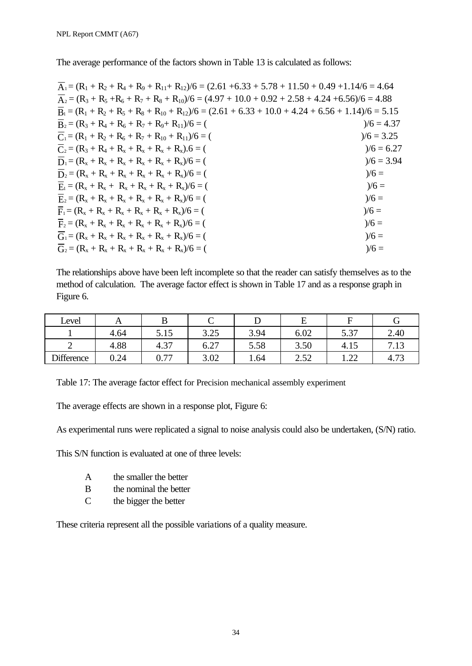The average performance of the factors shown in Table 13 is calculated as follows:

| $\overline{A}_1 = (R_1 + R_2 + R_4 + R_9 + R_{11} + R_{12})/6 = (2.61 + 6.33 + 5.78 + 11.50 + 0.49 + 1.14/6 = 4.64$ |              |
|---------------------------------------------------------------------------------------------------------------------|--------------|
| $A_2 = (R_3 + R_5 + R_6 + R_7 + R_8 + R_{10})/6 = (4.97 + 10.0 + 0.92 + 2.58 + 4.24 + 6.56)/6 = 4.88$               |              |
| $\overline{B}_1 = (R_1 + R_2 + R_5 + R_8 + R_{10} + R_{12})/6 = (2.61 + 6.33 + 10.0 + 4.24 + 6.56 + 1.14)/6 = 5.15$ |              |
| $\overline{B}_2 = (R_3 + R_4 + R_6 + R_7 + R_9 + R_{11})/6 = ($                                                     | $)/6 = 4.37$ |
| $\overline{C}_1 = (R_1 + R_2 + R_6 + R_7 + R_{10} + R_{11})/6 = ($                                                  | $)/6 = 3.25$ |
| $\overline{C}_2 = (R_3 + R_4 + R_x + R_x + R_x + R_x).6 = ($                                                        | $)/6 = 6.27$ |
| $\overline{D}_1 = (R_x + R_x + R_x + R_x + R_x + R_x)/6 = ($                                                        | $)/6 = 3.94$ |
| $\overline{D}_2 = (R_x + R_x + R_x + R_x + R_x + R_x)/6 = ($                                                        | $)/6 =$      |
| $E_1 = (R_x + R_x + R_x + R_x + R_x + R_x)/6 = ($                                                                   | $)/6 =$      |
| $E_2 = (R_x + R_x + R_x + R_x + R_x + R_x)/6 = ($                                                                   | $)/6 =$      |
| $F_1 = (R_x + R_x + R_x + R_x + R_x + R_x)/6 = ($                                                                   | $)/6 =$      |
| $F_2 = (R_x + R_x + R_x + R_x + R_x + R_x)/6 = ($                                                                   | $)/6 =$      |
| $G_1 = (R_x + R_x + R_x + R_x + R_x + R_x)/6 = ($                                                                   | $)/6 =$      |
| $G_2 = (R_x + R_x + R_x + R_x + R_x + R_x)/6 = ($                                                                   | $)/6 =$      |

The relationships above have been left incomplete so that the reader can satisfy themselves as to the method of calculation. The average factor effect is shown in Table 17 and as a response graph in Figure 6.

| Level             | 1 T  |              |                              |      | ∸                        |                        |                                 |
|-------------------|------|--------------|------------------------------|------|--------------------------|------------------------|---------------------------------|
|                   | 4.64 | -<br>5.15    | 2.25<br>ر∠.د                 | 3.94 | 6.02                     | 5.37<br>، ت            | 2.40                            |
| ∼                 | 4.88 | 4.37         | $\sim$ $\sim$ $\sim$<br>6.2. | 5.58 | 3.50                     | 4.15                   | −<br>$\overline{1}$<br>. . $13$ |
| <b>Difference</b> | 0.24 | ∩ 77<br>v. 1 | 3.02                         | 1.64 | ⌒<br>$5^{\circ}$<br>4.04 | $\cap$<br>1. <i>44</i> | 72<br>4.79                      |

Table 17: The average factor effect for Precision mechanical assembly experiment

The average effects are shown in a response plot, Figure 6:

As experimental runs were replicated a signal to noise analysis could also be undertaken, (S/N) ratio.

This S/N function is evaluated at one of three levels:

- A the smaller the better
- B the nominal the better
- C the bigger the better

These criteria represent all the possible variations of a quality measure.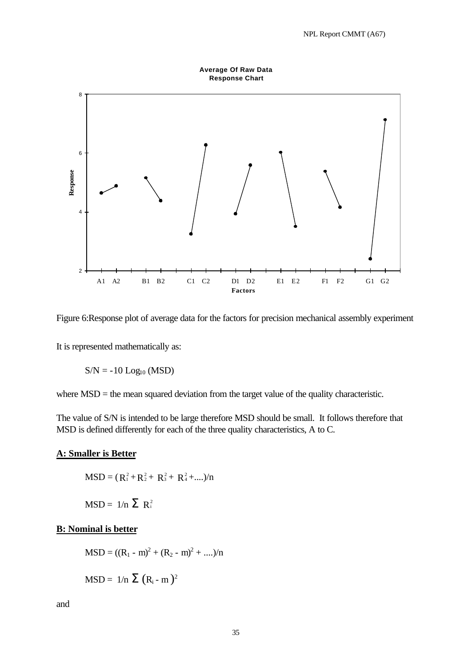

Figure 6:Response plot of average data for the factors for precision mechanical assembly experiment

It is represented mathematically as:

 $S/N = -10$  Log<sub>10</sub> (MSD)

where MSD = the mean squared deviation from the target value of the quality characteristic.

The value of S/N is intended to be large therefore MSD should be small. It follows therefore that MSD is defined differently for each of the three quality characteristics, A to C.

#### **A: Smaller is Better**

$$
MSD = (R_1^2 + R_2^2 + R_3^2 + R_4^2 + \dots)/n
$$

$$
MSD = 1/n \sum R_i^2
$$

### **B: Nominal is better**

$$
MSD = ((R_1 - m)^2 + (R_2 - m)^2 + ....)/n
$$

$$
MSD = 1/n \sum (R_i - m)^2
$$

and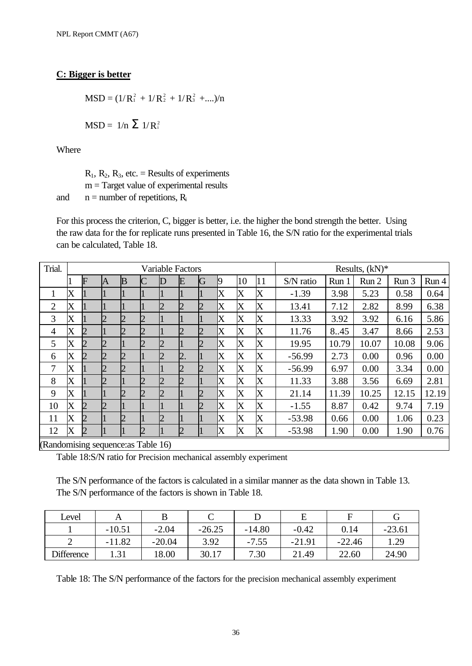### **C: Bigger is better**

 $MSD = (1/R_1^2 + 1/R_2^2 + 1/R_3^2 + ...)/n$  $MSD = 1/n \sum 1/R_i^2$ 

Where

 $R_1$ ,  $R_2$ ,  $R_3$ , etc. = Results of experiments  $m = Target value of experimental results$ 

and  $n =$  number of repetitions,  $R_i$ 

For this process the criterion, C, bigger is better, i.e. the higher the bond strength the better. Using the raw data for the for replicate runs presented in Table 16, the S/N ratio for the experimental trials can be calculated, Table 18.

| Trial.                                       |                       |   |   |   |                |                | <b>Variable Factors</b> |   |                   |    |                       | Results, $(kN)*$ |       |       |       |       |
|----------------------------------------------|-----------------------|---|---|---|----------------|----------------|-------------------------|---|-------------------|----|-----------------------|------------------|-------|-------|-------|-------|
|                                              |                       | F | A | B |                | D              | E                       | G | K)                | 10 | 11                    | S/N ratio        | Run 1 | Run 2 | Run 3 | Run 4 |
| 1                                            | $\rm\overline{X}$     |   |   |   |                |                |                         |   | X                 | X  | $\rm\overline{X}$     | $-1.39$          | 3.98  | 5.23  | 0.58  | 0.64  |
| $\overline{2}$                               | $\rm\overline{X}$     |   |   |   |                | 2              | 12                      |   | X                 | X  | $\rm\overline{X}$     | 13.41            | 7.12  | 2.82  | 8.99  | 6.38  |
| 3                                            | $\rm\overline{X}$     |   |   |   | $\overline{2}$ |                |                         |   | X                 | X  | X                     | 13.33            | 3.92  | 3.92  | 6.16  | 5.86  |
| 4                                            | $\rm\overline{X}$     | 2 |   |   | 2              |                |                         |   | X                 | X  | $\rm\overline{X}$     | 11.76            | 8.45  | 3.47  | 8.66  | 2.53  |
| 5                                            | $\rm\overline{X}$     | 2 | 2 |   | $\overline{2}$ | $\overline{2}$ |                         |   | X                 | X  | $\rm\overline{X}$     | 19.95            | 10.79 | 10.07 | 10.08 | 9.06  |
| 6                                            | $\rm\overline{X}$     | 2 | 2 |   |                | $\overline{2}$ | 2.                      |   | X                 | X  | $\overline{\text{X}}$ | $-56.99$         | 2.73  | 0.00  | 0.96  | 0.00  |
| 7                                            | $\rm\overline{X}$     |   | 2 | 2 |                |                | 12                      |   | X                 | X  | $\rm\overline{X}$     | $-56.99$         | 6.97  | 0.00  | 3.34  | 0.00  |
| 8                                            | $\rm\overline{X}$     |   | 2 |   |                | $\overline{c}$ |                         |   | X                 | X  | $\rm\overline{X}$     | 11.33            | 3.88  | 3.56  | 6.69  | 2.81  |
| 9                                            | $\overline{\text{X}}$ |   |   |   | 2              | 12             |                         |   | X                 | X  | $\rm\overline{X}$     | 21.14            | 11.39 | 10.25 | 12.15 | 12.19 |
| 10                                           | $\rm\overline{X}$     | 2 | 2 |   |                |                |                         |   | X                 | X  | $\rm\overline{X}$     | $-1.55$          | 8.87  | 0.42  | 9.74  | 7.19  |
| 11                                           | $\rm\overline{X}$     | 2 |   | 2 |                | 2              |                         |   | $\rm\overline{X}$ | X  | $\rm\overline{X}$     | $-53.98$         | 0.66  | 0.00  | 1.06  | 0.23  |
| 12                                           | $\rm\overline{X}$     | 2 |   |   | Ŋ              |                | 12                      |   | IX                | X  | X                     | $-53.98$         | 1.90  | 0.00  | 1.90  | 0.76  |
| $(D$ and amiging sequences $\text{Table 16}$ |                       |   |   |   |                |                |                         |   |                   |    |                       |                  |       |       |       |       |

(Randomising sequence:as Table 16)

Table 18:S/N ratio for Precision mechanical assembly experiment

The S/N performance of the factors is calculated in a similar manner as the data shown in Table 13. The S/N performance of the factors is shown in Table 18.

| Level             |          |          |          |          |          |          |          |
|-------------------|----------|----------|----------|----------|----------|----------|----------|
|                   | $-10.51$ | $-2.04$  | $-26.25$ | $-14.80$ | $-0.42$  | 0.14     | $-23.61$ |
|                   | $-11.82$ | $-20.04$ | 3.92     | $-7.55$  | $-21.91$ | $-22.46$ | 1.29     |
| <b>Difference</b> | 1.31     | 18.00    | 30.17    | 7.30     | 21.49    | 22.60    | 24.90    |

Table 18: The S/N performance of the factors for the precision mechanical assembly experiment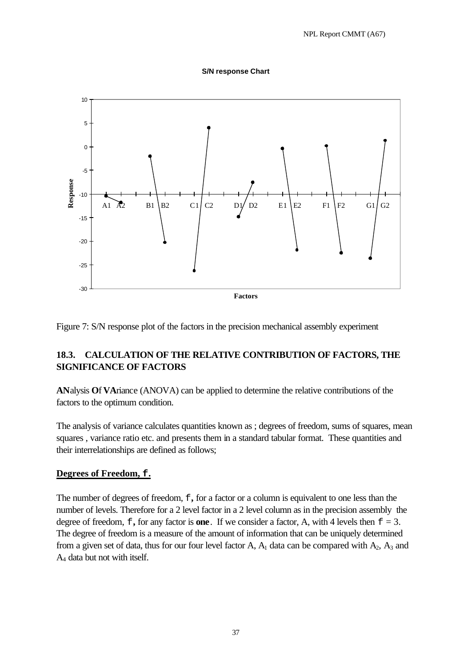### **S/N response Chart**



Figure 7: S/N response plot of the factors in the precision mechanical assembly experiment

### **18.3. CALCULATION OF THE RELATIVE CONTRIBUTION OF FACTORS, THE SIGNIFICANCE OF FACTORS**

**AN**alysis **O**f **VA**riance (ANOVA) can be applied to determine the relative contributions of the factors to the optimum condition.

The analysis of variance calculates quantities known as ; degrees of freedom, sums of squares, mean squares , variance ratio etc. and presents them in a standard tabular format. These quantities and their interrelationships are defined as follows;

### **Degrees of Freedom, f.**

The number of degrees of freedom, f**,** for a factor or a column is equivalent to one less than the number of levels. Therefore for a 2 level factor in a 2 level column as in the precision assembly the degree of freedom,  $f$ , for any factor is **one**. If we consider a factor, A, with 4 levels then  $f = 3$ . The degree of freedom is a measure of the amount of information that can be uniquely determined from a given set of data, thus for our four level factor A,  $A_1$  data can be compared with  $A_2$ ,  $A_3$  and A4 data but not with itself.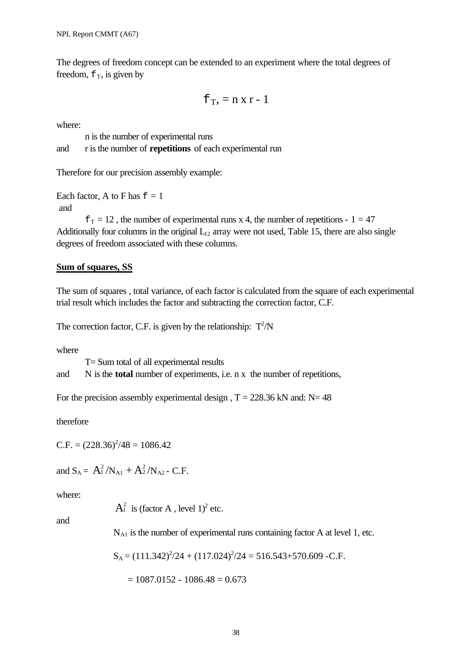The degrees of freedom concept can be extended to an experiment where the total degrees of freedom,  $f<sub>T</sub>$ , is given by

$$
f_T = n \times r - 1
$$

where:

n is the number of experimental runs and r is the number of **repetitions** of each experimental run

Therefore for our precision assembly example:

Each factor, A to F has  $f = 1$ and

 $f_T = 12$ , the number of experimental runs x 4, the number of repetitions - 1 = 47 Additionally four columns in the original  $L_{12}$  array were not used, Table 15, there are also single degrees of freedom associated with these columns.

### **Sum of squares, SS**

The sum of squares , total variance, of each factor is calculated from the square of each experimental trial result which includes the factor and subtracting the correction factor, C.F.

The correction factor, C.F. is given by the relationship:  $T^2/N$ 

where

T= Sum total of all experimental results and N is the **total** number of experiments, i.e. n x the number of repetitions,

For the precision assembly experimental design,  $T = 228.36$  kN and: N= 48

therefore

 $C.F. = (228.36)^{2}/48 = 1086.42$ 

and  $S_A = A_1^2/N_{A1} + A_2^2/N_{A2}$  - C.F.

where:

 $A_1^2$  is (factor A, level 1)<sup>2</sup> etc.

and

 $N_{A1}$  is the number of experimental runs containing factor A at level 1, etc.

$$
S_A = (111.342)^2/24 + (117.024)^2/24 = 516.543+570.609
$$
 -C.F.

$$
= 1087.0152 - 1086.48 = 0.673
$$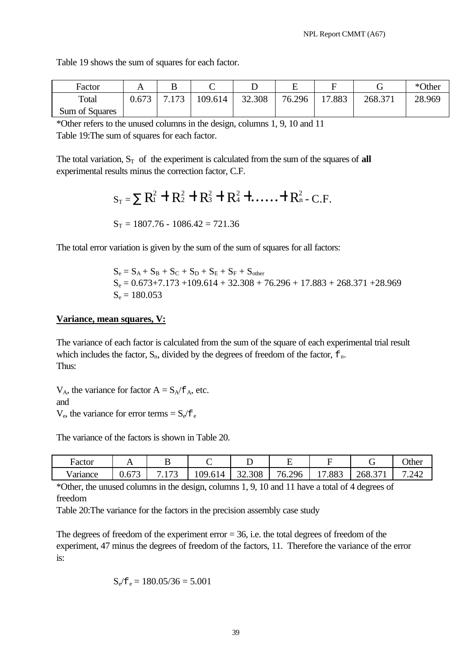| Factor         | A     | B                      |         |        | ∸      |            |         | *Other |
|----------------|-------|------------------------|---------|--------|--------|------------|---------|--------|
| Total          | 0.673 | .173<br>$\overline{ }$ | 109.614 | 32.308 | 76.296 | .883<br>17 | 268.371 | 28.969 |
| Sum of Squares |       |                        |         |        |        |            |         |        |

Table 19 shows the sum of squares for each factor.

\*Other refers to the unused columns in the design, columns 1, 9, 10 and 11 Table 19:The sum of squares for each factor.

The total variation,  $S_T$  of the experiment is calculated from the sum of the squares of **all** experimental results minus the correction factor, C.F.

$$
S_T = \sum R_1^2 + R_2^2 + R_3^2 + R_4^2 + \dots + R_n^2
$$
 - C.F.  
\n $S_T = 1807.76 - 1086.42 = 721.36$ 

The total error variation is given by the sum of the sum of squares for all factors:

 $S_e = S_A + S_B + S_C + S_D + S_E + S_F + S_{other}$  $S_e = 0.673 + 7.173 + 109.614 + 32.308 + 76.296 + 17.883 + 268.371 + 28.969$  $S_e = 180.053$ 

#### **Variance, mean squares, V:**

The variance of each factor is calculated from the sum of the square of each experimental trial result which includes the factor,  $S_n$ , divided by the degrees of freedom of the factor,  $f_n$ . Thus:

 $V_A$ , the variance for factor  $A = S_A / f_A$ , etc. and

 $V_e$ , the variance for error terms =  $S_e / f_e$ 

The variance of the factors is shown in Table 20.

| Factor  |                                                     | ⊷                                      |                                             | -      | <u>_</u>    |                                  |       | <b>Other</b> |
|---------|-----------------------------------------------------|----------------------------------------|---------------------------------------------|--------|-------------|----------------------------------|-------|--------------|
| ariance | $\sim$ n $\sim$<br>v.v7<br>$\overline{\phantom{0}}$ | $\overline{\phantom{a}}$<br>. <u>.</u> | 09<br>$\sim$ 1<br>14<br>$\cdot$ . $\cdot$ . | 32.308 | 76<br>6.296 | .883<br>$\overline{\phantom{a}}$ | 268.3 | .242         |

\*Other, the unused columns in the design, columns 1, 9, 10 and 11 have a total of 4 degrees of freedom

Table 20:The variance for the factors in the precision assembly case study

The degrees of freedom of the experiment  $error = 36$ , i.e. the total degrees of freedom of the experiment, 47 minus the degrees of freedom of the factors, 11. Therefore the variance of the error is:

$$
S_e/f_e = 180.05/36 = 5.001
$$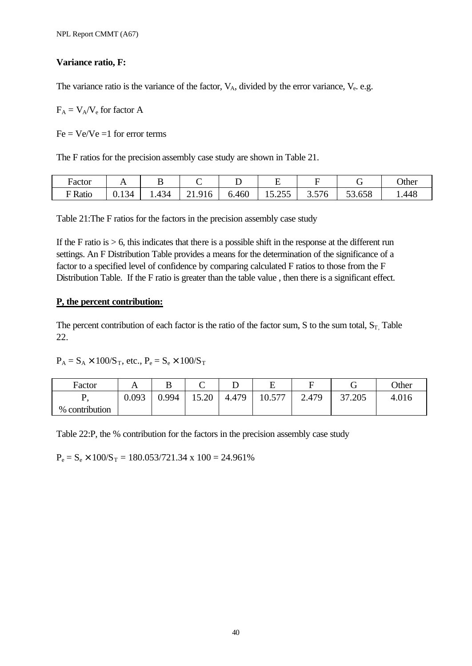### **Variance ratio, F:**

The variance ratio is the variance of the factor,  $V_A$ , divided by the error variance,  $V_e$ . e.g.

 $F_A = V_A/V_e$  for factor A

 $Fe = Ve/Ve = 1$  for error terms

The F ratios for the precision assembly case study are shown in Table 21.

| Factor | . .                            |                 |                              |       | -                          | –                                      |        | <b>Other</b> |
|--------|--------------------------------|-----------------|------------------------------|-------|----------------------------|----------------------------------------|--------|--------------|
| Ratio  | $1^{\prime}$<br>34<br>$0.13 -$ | $\sim$<br>$+34$ | 016<br>, 1 O<br><u>. .</u> . | 6.460 | 255<br>-<br>10. <i>200</i> | $\overline{r}$ $\overline{r}$<br>3.5/6 | 53.658 | .448         |

Table 21:The F ratios for the factors in the precision assembly case study

If the F ratio is  $> 6$ , this indicates that there is a possible shift in the response at the different run settings. An F Distribution Table provides a means for the determination of the significance of a factor to a specified level of confidence by comparing calculated F ratios to those from the F Distribution Table. If the F ratio is greater than the table value , then there is a significant effect.

### **P, the percent contribution:**

The percent contribution of each factor is the ratio of the factor sum, S to the sum total,  $S_T$ , Table 22.

 $P_A = S_A \times 100/S_T$ , etc.,  $P_e = S_e \times 100/S_T$ 

| Factor         | . .   | D   | ⌒<br>◡          | ∸     | <u>. </u>                  |       | ╭<br>◡ | Other |
|----------------|-------|-----|-----------------|-------|----------------------------|-------|--------|-------|
| . .            | 0.093 | 994 | 15.20<br>$\sim$ | 4.479 | 577<br>$10^{-1}$<br>10.011 | 2.479 | 37.205 | 4.016 |
| % contribution |       |     |                 |       |                            |       |        |       |

Table 22:P, the % contribution for the factors in the precision assembly case study

 $P_e = S_e \times 100/S_T = 180.053/721.34 \times 100 = 24.961\%$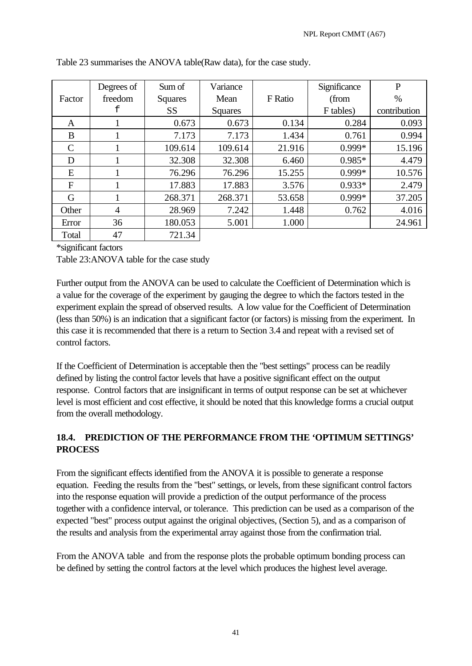|                | Degrees of     | Sum of         | Variance |         | Significance | $\mathbf{P}$ |
|----------------|----------------|----------------|----------|---------|--------------|--------------|
| Factor         | freedom        | <b>Squares</b> | Mean     | F Ratio | (from        | $\%$         |
|                | f              | <b>SS</b>      | Squares  |         | F tables)    | contribution |
| A              |                | 0.673          | 0.673    | 0.134   | 0.284        | 0.093        |
| B              |                | 7.173          | 7.173    | 1.434   | 0.761        | 0.994        |
| C              |                | 109.614        | 109.614  | 21.916  | 0.999*       | 15.196       |
| D              |                | 32.308         | 32.308   | 6.460   | $0.985*$     | 4.479        |
| E              |                | 76.296         | 76.296   | 15.255  | 0.999*       | 10.576       |
| $\overline{F}$ |                | 17.883         | 17.883   | 3.576   | $0.933*$     | 2.479        |
| G              |                | 268.371        | 268.371  | 53.658  | 0.999*       | 37.205       |
| Other          | $\overline{4}$ | 28.969         | 7.242    | 1.448   | 0.762        | 4.016        |
| Error          | 36             | 180.053        | 5.001    | 1.000   |              | 24.961       |
| Total          | 47             | 721.34         |          |         |              |              |

| Table 23 summarises the ANOVA table(Raw data), for the case study. |  |
|--------------------------------------------------------------------|--|
|--------------------------------------------------------------------|--|

\*significant factors

Table 23:ANOVA table for the case study

Further output from the ANOVA can be used to calculate the Coefficient of Determination which is a value for the coverage of the experiment by gauging the degree to which the factors tested in the experiment explain the spread of observed results. A low value for the Coefficient of Determination (less than 50%) is an indication that a significant factor (or factors) is missing from the experiment. In this case it is recommended that there is a return to Section 3.4 and repeat with a revised set of control factors.

If the Coefficient of Determination is acceptable then the "best settings" process can be readily defined by listing the control factor levels that have a positive significant effect on the output response. Control factors that are insignificant in terms of output response can be set at whichever level is most efficient and cost effective, it should be noted that this knowledge forms a crucial output from the overall methodology.

# **18.4. PREDICTION OF THE PERFORMANCE FROM THE 'OPTIMUM SETTINGS' PROCESS**

From the significant effects identified from the ANOVA it is possible to generate a response equation. Feeding the results from the "best" settings, or levels, from these significant control factors into the response equation will provide a prediction of the output performance of the process together with a confidence interval, or tolerance. This prediction can be used as a comparison of the expected "best" process output against the original objectives, (Section 5), and as a comparison of the results and analysis from the experimental array against those from the confirmation trial.

From the ANOVA table and from the response plots the probable optimum bonding process can be defined by setting the control factors at the level which produces the highest level average.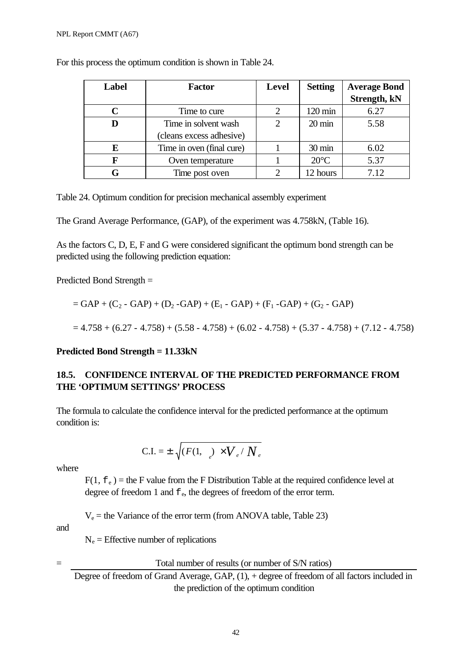| Label | <b>Factor</b>             | Level | <b>Setting</b>   | <b>Average Bond</b> |
|-------|---------------------------|-------|------------------|---------------------|
|       |                           |       |                  | Strength, kN        |
|       | Time to cure              | 2     | 120 min          | 6.27                |
|       | Time in solvent wash      | 2     | $20 \text{ min}$ | 5.58                |
|       | (cleans excess adhesive)  |       |                  |                     |
| E     | Time in oven (final cure) |       | $30 \text{ min}$ | 6.02                |
| F     | Oven temperature          |       | $20^{\circ}$ C   | 5.37                |
|       | Time post oven            |       | 12 hours         | 7.12                |

For this process the optimum condition is shown in Table 24.

Table 24. Optimum condition for precision mechanical assembly experiment

The Grand Average Performance, (GAP), of the experiment was 4.758kN, (Table 16).

As the factors C, D, E, F and G were considered significant the optimum bond strength can be predicted using the following prediction equation:

Predicted Bond Strength =

$$
= GAP + (C_2 - GAP) + (D_2 - GAP) + (E_1 - GAP) + (F_1 - GAP) + (G_2 - GAP)
$$

$$
=4.758+(6.27-4.758)+(5.58-4.758)+(6.02-4.758)+(5.37-4.758)+(7.12-4.758)
$$

### **Predicted Bond Strength = 11.33kN**

### **18.5. CONFIDENCE INTERVAL OF THE PREDICTED PERFORMANCE FROM THE 'OPTIMUM SETTINGS' PROCESS**

The formula to calculate the confidence interval for the predicted performance at the optimum condition is:

$$
C.I. = \pm \sqrt{(F(1, \ ) \times V_e / N_e)}
$$

where

 $F(1, f_e)$  = the F value from the F Distribution Table at the required confidence level at degree of freedom 1 and  $f_e$ , the degrees of freedom of the error term.

 $V_e$  = the Variance of the error term (from ANOVA table, Table 23)

and

 $N_e$  = Effective number of replications

Total number of results (or number of S/N ratios)

Degree of freedom of Grand Average, GAP, (1), + degree of freedom of all factors included in the prediction of the optimum condition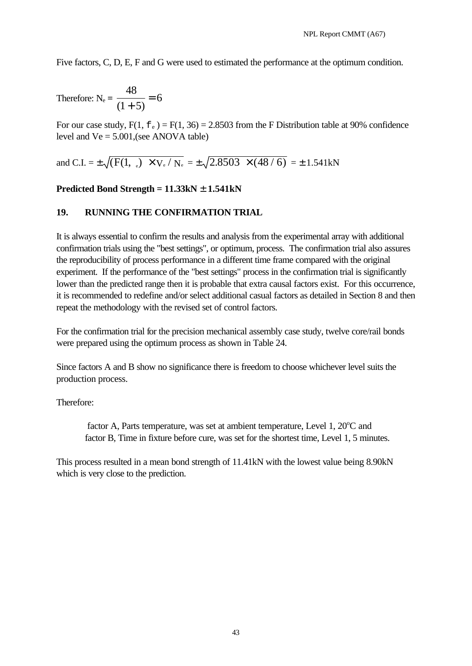Five factors, C, D, E, F and G were used to estimated the performance at the optimum condition.

Therefore: N<sub>e</sub> = 
$$
\frac{48}{(1+5)} = 6
$$

For our case study,  $F(1, f_e) = F(1, 36) = 2.8503$  from the F Distribution table at 90% confidence level and  $Ve = 5.001$ , (see ANOVA table)

and C.I. = 
$$
\pm \sqrt{(F(1, \, \circ)\times V_{\rm e}/N_{\rm e}} = \pm \sqrt{2.8503 \times (48/6)} = \pm 1.541 \,\rm{kN}
$$

### **Predicted Bond Strength = 11.33kN ± 1.541kN**

### **19. RUNNING THE CONFIRMATION TRIAL**

It is always essential to confirm the results and analysis from the experimental array with additional confirmation trials using the "best settings", or optimum, process. The confirmation trial also assures the reproducibility of process performance in a different time frame compared with the original experiment. If the performance of the "best settings" process in the confirmation trial is significantly lower than the predicted range then it is probable that extra causal factors exist. For this occurrence, it is recommended to redefine and/or select additional casual factors as detailed in Section 8 and then repeat the methodology with the revised set of control factors.

For the confirmation trial for the precision mechanical assembly case study, twelve core/rail bonds were prepared using the optimum process as shown in Table 24.

Since factors A and B show no significance there is freedom to choose whichever level suits the production process.

### Therefore:

factor A, Parts temperature, was set at ambient temperature, Level  $1,20^{\circ}$ C and factor B, Time in fixture before cure, was set for the shortest time, Level 1, 5 minutes.

This process resulted in a mean bond strength of 11.41kN with the lowest value being 8.90kN which is very close to the prediction.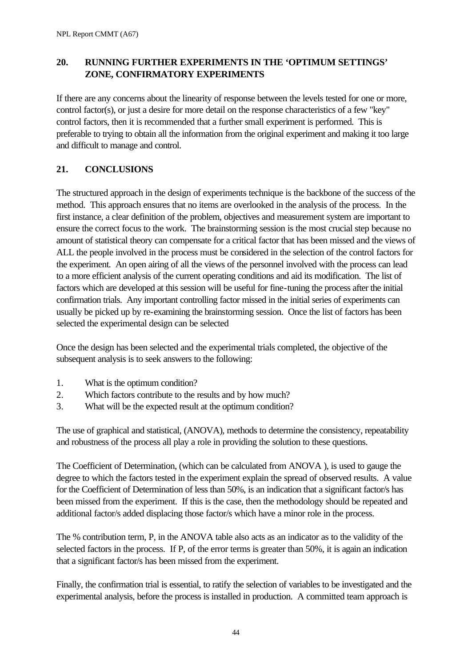# **20. RUNNING FURTHER EXPERIMENTS IN THE 'OPTIMUM SETTINGS' ZONE, CONFIRMATORY EXPERIMENTS**

If there are any concerns about the linearity of response between the levels tested for one or more, control factor(s), or just a desire for more detail on the response characteristics of a few "key" control factors, then it is recommended that a further small experiment is performed. This is preferable to trying to obtain all the information from the original experiment and making it too large and difficult to manage and control.

# **21. CONCLUSIONS**

The structured approach in the design of experiments technique is the backbone of the success of the method. This approach ensures that no items are overlooked in the analysis of the process. In the first instance, a clear definition of the problem, objectives and measurement system are important to ensure the correct focus to the work. The brainstorming session is the most crucial step because no amount of statistical theory can compensate for a critical factor that has been missed and the views of ALL the people involved in the process must be considered in the selection of the control factors for the experiment. An open airing of all the views of the personnel involved with the process can lead to a more efficient analysis of the current operating conditions and aid its modification. The list of factors which are developed at this session will be useful for fine-tuning the process after the initial confirmation trials. Any important controlling factor missed in the initial series of experiments can usually be picked up by re-examining the brainstorming session. Once the list of factors has been selected the experimental design can be selected

Once the design has been selected and the experimental trials completed, the objective of the subsequent analysis is to seek answers to the following:

- 1. What is the optimum condition?
- 2. Which factors contribute to the results and by how much?
- 3. What will be the expected result at the optimum condition?

The use of graphical and statistical, (ANOVA), methods to determine the consistency, repeatability and robustness of the process all play a role in providing the solution to these questions.

The Coefficient of Determination, (which can be calculated from ANOVA ), is used to gauge the degree to which the factors tested in the experiment explain the spread of observed results. A value for the Coefficient of Determination of less than 50%, is an indication that a significant factor/s has been missed from the experiment. If this is the case, then the methodology should be repeated and additional factor/s added displacing those factor/s which have a minor role in the process.

The % contribution term, P, in the ANOVA table also acts as an indicator as to the validity of the selected factors in the process. If P, of the error terms is greater than 50%, it is again an indication that a significant factor/s has been missed from the experiment.

Finally, the confirmation trial is essential, to ratify the selection of variables to be investigated and the experimental analysis, before the process is installed in production. A committed team approach is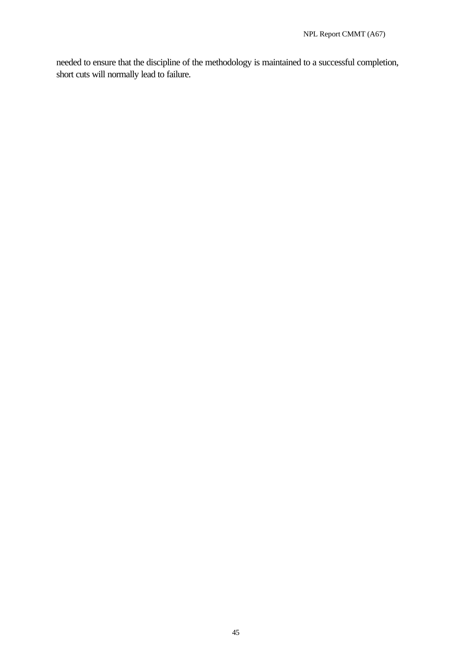needed to ensure that the discipline of the methodology is maintained to a successful completion, short cuts will normally lead to failure.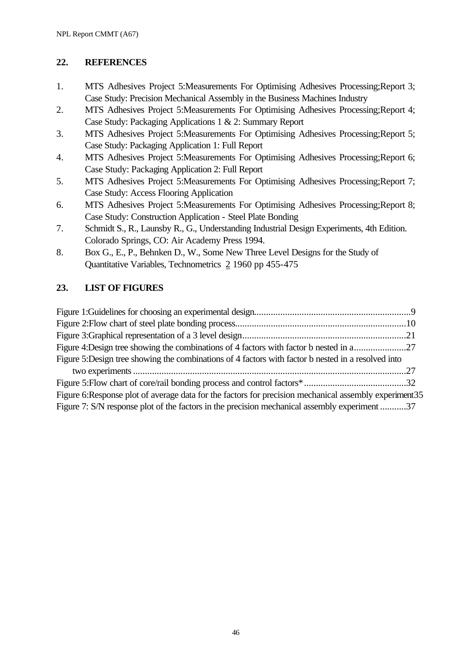### **22. REFERENCES**

- 1. MTS Adhesives Project 5:Measurements For Optimising Adhesives Processing;Report 3; Case Study: Precision Mechanical Assembly in the Business Machines Industry
- 2. MTS Adhesives Project 5:Measurements For Optimising Adhesives Processing;Report 4; Case Study: Packaging Applications 1 & 2: Summary Report
- 3. MTS Adhesives Project 5:Measurements For Optimising Adhesives Processing;Report 5; Case Study: Packaging Application 1: Full Report
- 4. MTS Adhesives Project 5:Measurements For Optimising Adhesives Processing;Report 6; Case Study: Packaging Application 2: Full Report
- 5. MTS Adhesives Project 5:Measurements For Optimising Adhesives Processing;Report 7; Case Study: Access Flooring Application
- 6. MTS Adhesives Project 5:Measurements For Optimising Adhesives Processing;Report 8; Case Study: Construction Application - Steel Plate Bonding
- 7. Schmidt S., R., Launsby R., G., Understanding Industrial Design Experiments, 4th Edition. Colorado Springs, CO: Air Academy Press 1994.
- 8. Box G., E., P., Behnken D., W., Some New Three Level Designs for the Study of Quantitative Variables, Technometrics 2 1960 pp 455-475

# **23. LIST OF FIGURES**

| Figure 4:Design tree showing the combinations of 4 factors with factor b nested in a27                |  |
|-------------------------------------------------------------------------------------------------------|--|
| Figure 5:Design tree showing the combinations of 4 factors with factor b nested in a resolved into    |  |
|                                                                                                       |  |
|                                                                                                       |  |
| Figure 6:Response plot of average data for the factors for precision mechanical assembly experiment35 |  |
| Figure 7: S/N response plot of the factors in the precision mechanical assembly experiment37          |  |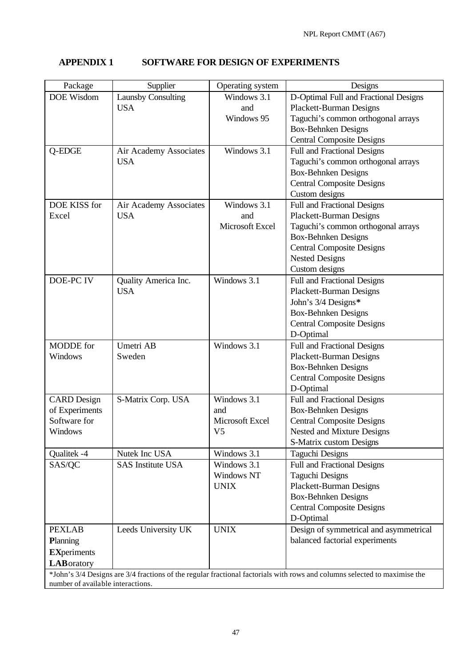# **APPENDIX 1 SOFTWARE FOR DESIGN OF EXPERIMENTS**

| Package                              | Supplier                  | Operating system | Designs                                                                                                                   |
|--------------------------------------|---------------------------|------------------|---------------------------------------------------------------------------------------------------------------------------|
| DOE Wisdom                           | <b>Launsby Consulting</b> | Windows 3.1      | D-Optimal Full and Fractional Designs                                                                                     |
|                                      | <b>USA</b>                | and              | <b>Plackett-Burman Designs</b>                                                                                            |
|                                      |                           | Windows 95       | Taguchi's common orthogonal arrays                                                                                        |
|                                      |                           |                  | <b>Box-Behnken Designs</b>                                                                                                |
|                                      |                           |                  | <b>Central Composite Designs</b>                                                                                          |
| Q-EDGE                               | Air Academy Associates    | Windows 3.1      | Full and Fractional Designs                                                                                               |
|                                      | <b>USA</b>                |                  | Taguchi's common orthogonal arrays                                                                                        |
|                                      |                           |                  | <b>Box-Behnken Designs</b>                                                                                                |
|                                      |                           |                  | <b>Central Composite Designs</b>                                                                                          |
|                                      |                           |                  | Custom designs                                                                                                            |
| DOE KISS for                         | Air Academy Associates    | Windows 3.1      | Full and Fractional Designs                                                                                               |
| Excel                                | <b>USA</b>                | and              | <b>Plackett-Burman Designs</b>                                                                                            |
|                                      |                           | Microsoft Excel  | Taguchi's common orthogonal arrays                                                                                        |
|                                      |                           |                  | <b>Box-Behnken Designs</b>                                                                                                |
|                                      |                           |                  | <b>Central Composite Designs</b>                                                                                          |
|                                      |                           |                  | <b>Nested Designs</b>                                                                                                     |
|                                      |                           |                  | Custom designs                                                                                                            |
| DOE-PC IV                            | Quality America Inc.      | Windows 3.1      | <b>Full and Fractional Designs</b>                                                                                        |
|                                      | <b>USA</b>                |                  | <b>Plackett-Burman Designs</b>                                                                                            |
|                                      |                           |                  | John's 3/4 Designs*                                                                                                       |
|                                      |                           |                  | <b>Box-Behnken Designs</b>                                                                                                |
|                                      |                           |                  | <b>Central Composite Designs</b>                                                                                          |
|                                      |                           |                  | D-Optimal                                                                                                                 |
| <b>MODDE</b> for                     | Umetri AB                 | Windows 3.1      | <b>Full and Fractional Designs</b>                                                                                        |
| Windows                              | Sweden                    |                  | <b>Plackett-Burman Designs</b>                                                                                            |
|                                      |                           |                  | <b>Box-Behnken Designs</b>                                                                                                |
|                                      |                           |                  | <b>Central Composite Designs</b>                                                                                          |
|                                      |                           | Windows 3.1      | D-Optimal                                                                                                                 |
| <b>CARD</b> Design<br>of Experiments | S-Matrix Corp. USA        | and              | <b>Full and Fractional Designs</b><br><b>Box-Behnken Designs</b>                                                          |
| Software for                         |                           | Microsoft Excel  | <b>Central Composite Designs</b>                                                                                          |
| Windows                              |                           | V <sub>5</sub>   | Nested and Mixture Designs                                                                                                |
|                                      |                           |                  | S-Matrix custom Designs                                                                                                   |
| Qualitek -4                          | Nutek Inc USA             | Windows 3.1      | <b>Taguchi Designs</b>                                                                                                    |
| SAS/QC                               | <b>SAS Institute USA</b>  | Windows 3.1      | <b>Full and Fractional Designs</b>                                                                                        |
|                                      |                           | Windows NT       | <b>Taguchi Designs</b>                                                                                                    |
|                                      |                           | <b>UNIX</b>      | <b>Plackett-Burman Designs</b>                                                                                            |
|                                      |                           |                  | <b>Box-Behnken Designs</b>                                                                                                |
|                                      |                           |                  | <b>Central Composite Designs</b>                                                                                          |
|                                      |                           |                  | D-Optimal                                                                                                                 |
| <b>PEXLAB</b>                        | Leeds University UK       | <b>UNIX</b>      | Design of symmetrical and asymmetrical                                                                                    |
| Planning                             |                           |                  | balanced factorial experiments                                                                                            |
|                                      |                           |                  |                                                                                                                           |
| <b>EXperiments</b>                   |                           |                  |                                                                                                                           |
| <b>LAB</b> oratory                   |                           |                  |                                                                                                                           |
| number of available interactions.    |                           |                  | *John's 3/4 Designs are 3/4 fractions of the regular fractional factorials with rows and columns selected to maximise the |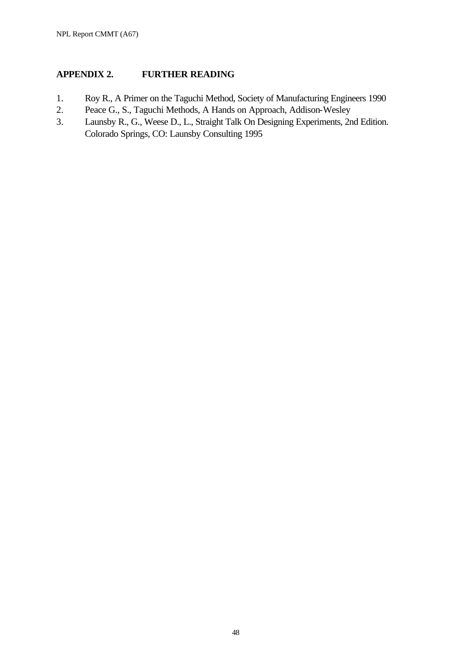# **APPENDIX 2. FURTHER READING**

- 1. Roy R., A Primer on the Taguchi Method, Society of Manufacturing Engineers 1990
- 2. Peace G., S., Taguchi Methods, A Hands on Approach, Addison-Wesley
- 3. Launsby R., G., Weese D., L., Straight Talk On Designing Experiments, 2nd Edition. Colorado Springs, CO: Launsby Consulting 1995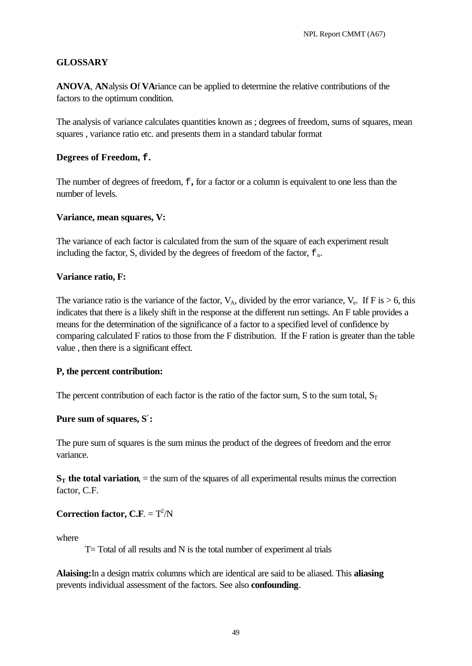### **GLOSSARY**

**ANOVA**, **AN**alysis **O**f **VA**riance can be applied to determine the relative contributions of the factors to the optimum condition.

The analysis of variance calculates quantities known as ; degrees of freedom, sums of squares, mean squares , variance ratio etc. and presents them in a standard tabular format

### **Degrees of Freedom, f.**

The number of degrees of freedom,  $f$ , for a factor or a column is equivalent to one less than the number of levels.

### **Variance, mean squares, V:**

The variance of each factor is calculated from the sum of the square of each experiment result including the factor, S, divided by the degrees of freedom of the factor,  $E_n$ .

### **Variance ratio, F:**

The variance ratio is the variance of the factor,  $V_A$ , divided by the error variance,  $V_e$ . If F is  $> 6$ , this indicates that there is a likely shift in the response at the different run settings. An F table provides a means for the determination of the significance of a factor to a specified level of confidence by comparing calculated F ratios to those from the F distribution. If the F ration is greater than the table value , then there is a significant effect.

### **P, the percent contribution:**

The percent contribution of each factor is the ratio of the factor sum, S to the sum total,  $S_T$ 

### **Pure sum of squares, S¢:**

The pure sum of squares is the sum minus the product of the degrees of freedom and the error variance.

 $S_T$  the total variation,  $=$  the sum of the squares of all experimental results minus the correction factor, C.F.

### **Correction factor, C.F.** =  $T^2/N$

where

T= Total of all results and N is the total number of experiment al trials

**Alaising:**In a design matrix columns which are identical are said to be aliased. This **aliasing** prevents individual assessment of the factors. See also **confounding**.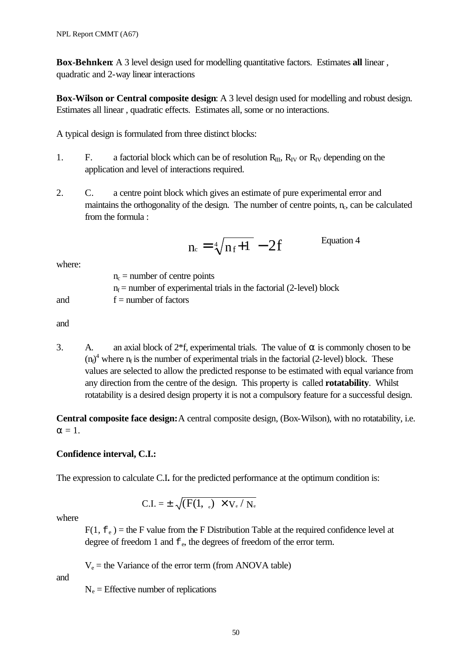**Box-Behnken**: A 3 level design used for modelling quantitative factors. Estimates **all** linear , quadratic and 2-way linear interactions

**Box-Wilson or Central composite design**: A 3 level design used for modelling and robust design. Estimates all linear , quadratic effects. Estimates all, some or no interactions.

A typical design is formulated from three distinct blocks:

- 1. F. a factorial block which can be of resolution  $R_{III}$ ,  $R_{IV}$  or  $R_{IV}$  depending on the application and level of interactions required.
- 2. C. a centre point block which gives an estimate of pure experimental error and maintains the orthogonality of the design. The number of centre points,  $n_c$ , can be calculated from the formula :

$$
n_c = \sqrt[4]{n_f + 1} - 2f
$$
 Equation 4

where:

|     | $n_c$ = number of centre points                                        |
|-----|------------------------------------------------------------------------|
|     | $n_f$ = number of experimental trials in the factorial (2-level) block |
| and | $f =$ number of factors                                                |

and

3. A. an axial block of  $2*f$ , experimental trials. The value of  $\alpha$  is commonly chosen to be  $(n_f)^4$  where  $n_f$  is the number of experimental trials in the factorial (2-level) block. These values are selected to allow the predicted response to be estimated with equal variance from any direction from the centre of the design. This property is called **rotatability**. Whilst rotatability is a desired design property it is not a compulsory feature for a successful design.

**Central composite face design:**A central composite design, (Box-Wilson), with no rotatability, i.e.  $\alpha = 1$ .

# **Confidence interval, C.I.:**

The expression to calculate C.I**.** for the predicted performance at the optimum condition is:

$$
C.I. = \pm \sqrt{(F(1, \, \_e) \times V_e / N_e}
$$

where

 $F(1, f_e)$  = the F value from the F Distribution Table at the required confidence level at degree of freedom 1 and  $f_e$ , the degrees of freedom of the error term.

 $V_e$  = the Variance of the error term (from ANOVA table)

and

 $N_e$  = Effective number of replications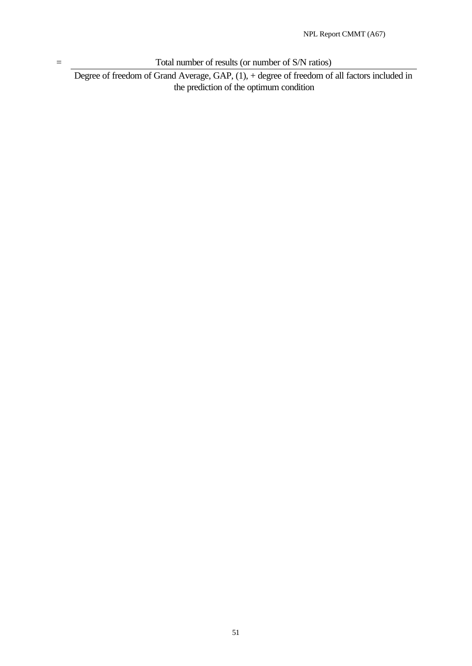= Total number of results (or number of S/N ratios)

Degree of freedom of Grand Average, GAP, (1), + degree of freedom of all factors included in the prediction of the optimum condition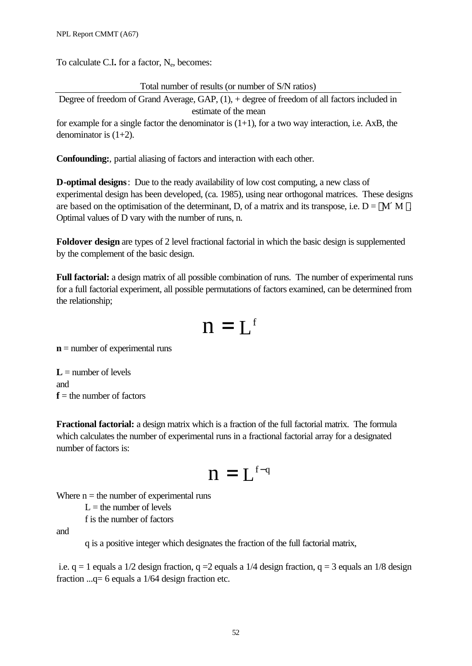To calculate C.I. for a factor, N<sub>e</sub>, becomes:

Total number of results (or number of S/N ratios)

Degree of freedom of Grand Average, GAP, (1), + degree of freedom of all factors included in estimate of the mean

for example for a single factor the denominator is  $(1+1)$ , for a two way interaction, i.e. AxB, the denominator is  $(1+2)$ .

**Confounding:**, partial aliasing of factors and interaction with each other.

**D-optimal designs**: Due to the ready availability of low cost computing, a new class of experimental design has been developed, (ca. 1985), using near orthogonal matrices. These designs are based on the optimisation of the determinant, D, of a matrix and its transpose, i.e.  $D = |M'M|$ . Optimal values of D vary with the number of runs, n.

**Foldover design** are types of 2 level fractional factorial in which the basic design is supplemented by the complement of the basic design.

**Full factorial:** a design matrix of all possible combination of runs. The number of experimental runs for a full factorial experiment, all possible permutations of factors examined, can be determined from the relationship;

$$
n=L^{\rm f}
$$

**n** = number of experimental runs

 $L =$  number of levels and  $f$  = the number of factors

**Fractional factorial:** a design matrix which is a fraction of the full factorial matrix. The formula which calculates the number of experimental runs in a fractional factorial array for a designated number of factors is:

$$
n=L^{\scriptscriptstyle f\text{-}q}
$$

Where  $n =$  the number of experimental runs

 $L =$  the number of levels f is the number of factors

and

q is a positive integer which designates the fraction of the full factorial matrix,

i.e.  $q = 1$  equals a 1/2 design fraction,  $q = 2$  equals a 1/4 design fraction,  $q = 3$  equals an 1/8 design fraction ...q= 6 equals a 1/64 design fraction etc.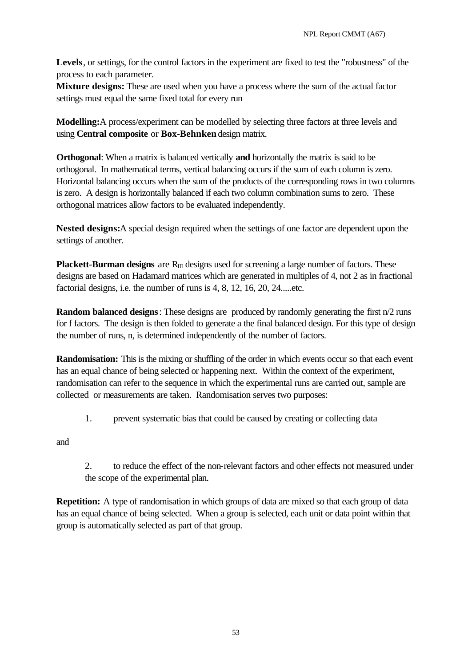**Levels**, or settings, for the control factors in the experiment are fixed to test the "robustness" of the process to each parameter.

**Mixture designs:** These are used when you have a process where the sum of the actual factor settings must equal the same fixed total for every run

**Modelling:**A process/experiment can be modelled by selecting three factors at three levels and using **Central composite** or **Box-Behnken** design matrix.

**Orthogonal**: When a matrix is balanced vertically **and** horizontally the matrix is said to be orthogonal. In mathematical terms, vertical balancing occurs if the sum of each column is zero. Horizontal balancing occurs when the sum of the products of the corresponding rows in two columns is zero. A design is horizontally balanced if each two column combination sums to zero. These orthogonal matrices allow factors to be evaluated independently.

**Nested designs:**A special design required when the settings of one factor are dependent upon the settings of another.

**Plackett-Burman designs** are R<sub>III</sub> designs used for screening a large number of factors. These designs are based on Hadamard matrices which are generated in multiples of 4, not 2 as in fractional factorial designs, i.e. the number of runs is 4, 8, 12, 16, 20, 24.....etc.

**Random balanced designs**: These designs are produced by randomly generating the first n/2 runs for f factors. The design is then folded to generate a the final balanced design. For this type of design the number of runs, n, is determined independently of the number of factors.

**Randomisation:** This is the mixing or shuffling of the order in which events occur so that each event has an equal chance of being selected or happening next. Within the context of the experiment, randomisation can refer to the sequence in which the experimental runs are carried out, sample are collected or measurements are taken. Randomisation serves two purposes:

1. prevent systematic bias that could be caused by creating or collecting data

and

2. to reduce the effect of the non-relevant factors and other effects not measured under the scope of the experimental plan.

**Repetition:** A type of randomisation in which groups of data are mixed so that each group of data has an equal chance of being selected. When a group is selected, each unit or data point within that group is automatically selected as part of that group.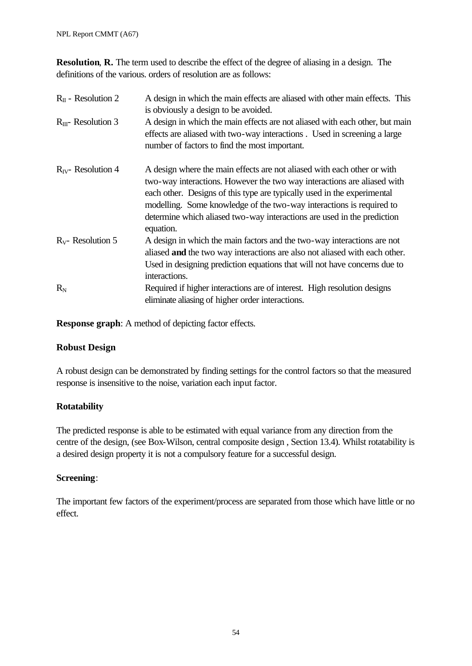**Resolution**, **R.** The term used to describe the effect of the degree of aliasing in a design. The definitions of the various. orders of resolution are as follows:

| $R_{II}$ - Resolution 2  | A design in which the main effects are aliased with other main effects. This<br>is obviously a design to be avoided.                                                                                                                                                                                                                                                                          |  |
|--------------------------|-----------------------------------------------------------------------------------------------------------------------------------------------------------------------------------------------------------------------------------------------------------------------------------------------------------------------------------------------------------------------------------------------|--|
| $R_{III}$ - Resolution 3 | A design in which the main effects are not aliased with each other, but main<br>effects are aliased with two-way interactions. Used in screening a large<br>number of factors to find the most important.                                                                                                                                                                                     |  |
| $R_{IV}$ - Resolution 4  | A design where the main effects are not aliased with each other or with<br>two-way interactions. However the two way interactions are aliased with<br>each other. Designs of this type are typically used in the experimental<br>modelling. Some knowledge of the two-way interactions is required to<br>determine which aliased two-way interactions are used in the prediction<br>equation. |  |
| $R_V$ - Resolution 5     | A design in which the main factors and the two-way interactions are not<br>aliased and the two way interactions are also not aliased with each other.<br>Used in designing prediction equations that will not have concerns due to<br>interactions.                                                                                                                                           |  |
| $R_{N}$                  | Required if higher interactions are of interest. High resolution designs<br>eliminate aliasing of higher order interactions.                                                                                                                                                                                                                                                                  |  |

**Response graph**: A method of depicting factor effects.

### **Robust Design**

A robust design can be demonstrated by finding settings for the control factors so that the measured response is insensitive to the noise, variation each input factor.

### **Rotatability**

The predicted response is able to be estimated with equal variance from any direction from the centre of the design, (see Box-Wilson, central composite design , Section 13.4). Whilst rotatability is a desired design property it is not a compulsory feature for a successful design.

### **Screening**:

The important few factors of the experiment/process are separated from those which have little or no effect.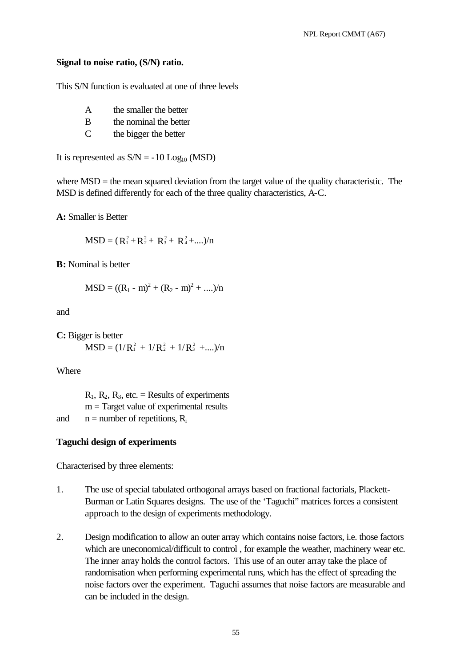### **Signal to noise ratio, (S/N) ratio.**

This S/N function is evaluated at one of three levels

- A the smaller the better
- B the nominal the better
- C the bigger the better

It is represented as  $S/N = -10$  Log<sub>10</sub> (MSD)

where MSD = the mean squared deviation from the target value of the quality characteristic. The MSD is defined differently for each of the three quality characteristics, A-C.

**A:** Smaller is Better

$$
MSD = (R_1^2 + R_2^2 + R_3^2 + R_4^2 + \dots)/n
$$

**B:** Nominal is better

$$
MSD = ((R_1 - m)^2 + (R_2 - m)^2 + ....)/n
$$

and

**C:** Bigger is better  $MSD = (1/R_1^2 + 1/R_2^2 + 1/R_3^2 + ...)/n$ 

**Where** 

 $R_1$ ,  $R_2$ ,  $R_3$ , etc. = Results of experiments  $m = Target value of experimental results$ and  $n =$  number of repetitions,  $R_i$ 

### **Taguchi design of experiments**

Characterised by three elements:

- 1. The use of special tabulated orthogonal arrays based on fractional factorials, Plackett-Burman or Latin Squares designs. The use of the 'Taguchi" matrices forces a consistent approach to the design of experiments methodology.
- 2. Design modification to allow an outer array which contains noise factors, i.e. those factors which are uneconomical/difficult to control , for example the weather, machinery wear etc. The inner array holds the control factors. This use of an outer array take the place of randomisation when performing experimental runs, which has the effect of spreading the noise factors over the experiment. Taguchi assumes that noise factors are measurable and can be included in the design.